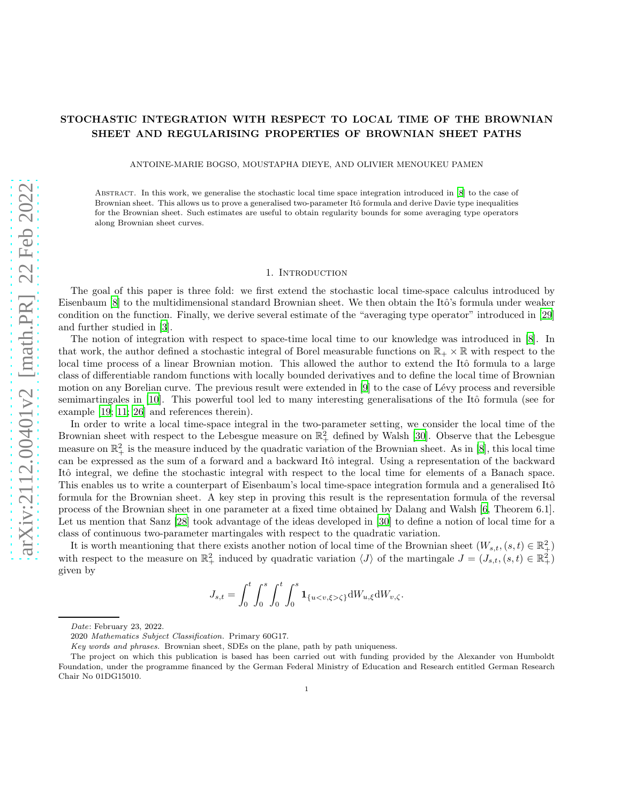# STOCHASTIC INTEGRATION WITH RESPECT TO LOCAL TIME OF THE BROWNIAN SHEET AND REGULARISING PROPERTIES OF BROWNIAN SHEET PATHS

ANTOINE-MARIE BOGSO, MOUSTAPHA DIEYE, AND OLIVIER MENOUKEU PAMEN

Abstract. In this work, we generalise the stochastic local time space integration introduced in [\[8\]](#page-22-0) to the case of Brownian sheet. This allows us to prove a generalised two-parameter Itô formula and derive Davie type inequalities for the Brownian sheet. Such estimates are useful to obtain regularity bounds for some averaging type operators along Brownian sheet curves.

## 1. INTRODUCTION

The goal of this paper is three fold: we first extend the stochastic local time-space calculus introduced by Eisenbaum [\[8\]](#page-22-0) to the multidimensional standard Brownian sheet. We then obtain the Itô's formula under weaker condition on the function. Finally, we derive several estimate of the "averaging type operator" introduced in [\[29\]](#page-23-0) and further studied in [\[3\]](#page-22-1).

The notion of integration with respect to space-time local time to our knowledge was introduced in [\[8\]](#page-22-0). In that work, the author defined a stochastic integral of Borel measurable functions on  $\mathbb{R}_+ \times \mathbb{R}$  with respect to the local time process of a linear Brownian motion. This allowed the author to extend the Itô formula to a large class of differentiable random functions with locally bounded derivatives and to define the local time of Brownian motion on any Borelian curve. The previous result were extended in  $[9]$  to the case of Lévy process and reversible semimartingales in [\[10\]](#page-22-3). This powerful tool led to many interesting generalisations of the Itô formula (see for example [\[19](#page-23-1); [11;](#page-22-4) [26\]](#page-23-2) and references therein).

In order to write a local time-space integral in the two-parameter setting, we consider the local time of the Brownian sheet with respect to the Lebesgue measure on  $\mathbb{R}^2_+$  defined by Walsh [\[30\]](#page-23-3). Observe that the Lebesgue measure on  $\mathbb{R}^2_+$  is the measure induced by the quadratic variation of the Brownian sheet. As in [\[8](#page-22-0)], this local time can be expressed as the sum of a forward and a backward Itô integral. Using a representation of the backward Itô integral, we define the stochastic integral with respect to the local time for elements of a Banach space. This enables us to write a counterpart of Eisenbaum's local time-space integration formula and a generalised Itô formula for the Brownian sheet. A key step in proving this result is the representation formula of the reversal process of the Brownian sheet in one parameter at a fixed time obtained by Dalang and Walsh [\[6,](#page-22-5) Theorem 6.1]. Let us mention that Sanz [\[28\]](#page-23-4) took advantage of the ideas developed in [\[30\]](#page-23-3) to define a notion of local time for a class of continuous two-parameter martingales with respect to the quadratic variation.

It is worth meantioning that there exists another notion of local time of the Brownian sheet  $(W_{s,t},(s,t) \in \mathbb{R}^2_+)$ with respect to the measure on  $\mathbb{R}^2_+$  induced by quadratic variation  $\langle J \rangle$  of the martingale  $J = (J_{s,t}, (s,t) \in \mathbb{R}^2_+)$ given by

$$
J_{s,t} = \int_0^t \int_0^s \int_0^t \int_0^s \mathbf{1}_{\{u < v, \xi > \zeta\}} dW_{u,\xi} dW_{v,\zeta}.
$$

Date: February 23, 2022.

<sup>2020</sup> Mathematics Subject Classification. Primary 60G17.

Key words and phrases. Brownian sheet, SDEs on the plane, path by path uniqueness.

The project on which this publication is based has been carried out with funding provided by the Alexander von Humboldt Foundation, under the programme financed by the German Federal Ministry of Education and Research entitled German Research Chair No 01DG15010.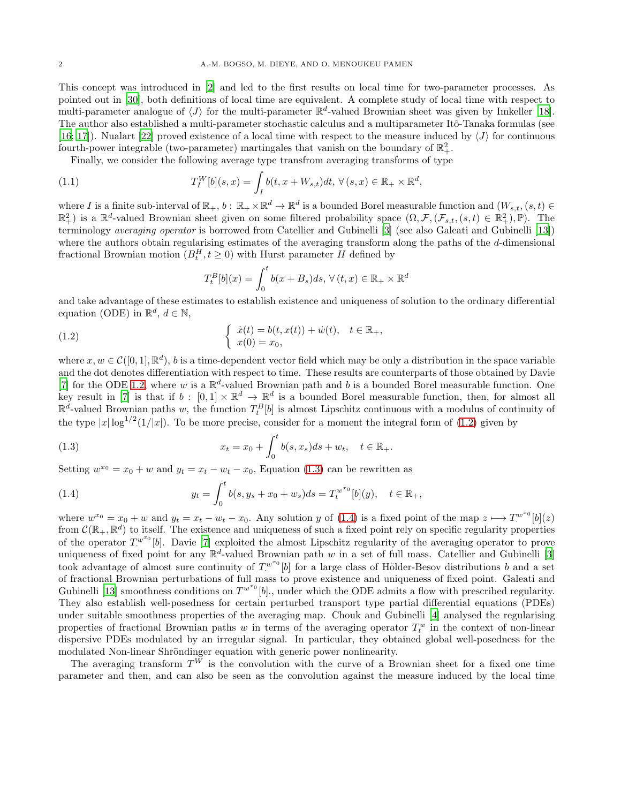This concept was introduced in [\[2\]](#page-22-6) and led to the first results on local time for two-parameter processes. As pointed out in [\[30\]](#page-23-3), both definitions of local time are equivalent. A complete study of local time with respect to multi-parameter analogue of  $\langle J \rangle$  for the multi-parameter  $\mathbb{R}^d$ -valued Brownian sheet was given by Imkeller [\[18\]](#page-23-5). The author also established a multi-parameter stochastic calculus and a multiparameter Itô-Tanaka formulas (see [\[16](#page-23-6); [17](#page-23-7)]). Nualart [\[22](#page-23-8)] proved existence of a local time with respect to the measure induced by  $\langle J \rangle$  for continuous fourth-power integrable (two-parameter) martingales that vanish on the boundary of  $\mathbb{R}^2_+$ .

Finally, we consider the following average type transfrom averaging transforms of type

<span id="page-1-3"></span>(1.1) 
$$
T_I^W[b](s,x) = \int_I b(t,x+W_{s,t})dt, \,\forall (s,x) \in \mathbb{R}_+ \times \mathbb{R}^d,
$$

where I is a finite sub-interval of  $\mathbb{R}_+$ ,  $b : \mathbb{R}_+ \times \mathbb{R}^d \to \mathbb{R}^d$  is a bounded Borel measurable function and  $(W_{s,t}, (s,t) \in \mathbb{R}^d)$  $\mathbb{R}^2$ ) is a  $\mathbb{R}^d$ -valued Brownian sheet given on some filtered probability space  $(\Omega, \mathcal{F}, (\mathcal{F}_{s,t}, (s,t) \in \mathbb{R}^2_+), \mathbb{P})$ . The terminology averaging operator is borrowed from Catellier and Gubinelli [\[3](#page-22-1)] (see also Galeati and Gubinelli [\[13\]](#page-22-7)) where the authors obtain regularising estimates of the averaging transform along the paths of the d-dimensional fractional Brownian motion  $(B_t^H, t \geq 0)$  with Hurst parameter H defined by

$$
T_t^B[b](x) = \int_0^t b(x + B_s)ds, \,\forall (t, x) \in \mathbb{R}_+ \times \mathbb{R}^d
$$

and take advantage of these estimates to establish existence and uniqueness of solution to the ordinary differential equation (ODE) in  $\mathbb{R}^d$ ,  $d \in \mathbb{N}$ ,

<span id="page-1-0"></span>(1.2) 
$$
\begin{cases} \dot{x}(t) = b(t, x(t)) + \dot{w}(t), & t \in \mathbb{R}_+, \\ x(0) = x_0, \end{cases}
$$

where  $x, w \in C([0, 1], \mathbb{R}^d)$ , b is a time-dependent vector field which may be only a distribution in the space variable and the dot denotes differentiation with respect to time. These results are counterparts of those obtained by Davie [\[7](#page-22-8)] for the ODE [1.2,](#page-1-0) where w is a  $\mathbb{R}^d$ -valued Brownian path and b is a bounded Borel measurable function. One key result in [\[7\]](#page-22-8) is that if  $b: [0,1] \times \mathbb{R}^d \to \mathbb{R}^d$  is a bounded Borel measurable function, then, for almost all  $\mathbb{R}^d$ -valued Brownian paths w, the function  $T_t^B[b]$  is almost Lipschitz continuous with a modulus of continuity of the type  $|x| \log^{1/2}(1/|x|)$ . To be more precise, consider for a moment the integral form of [\(1.2\)](#page-1-0) given by

<span id="page-1-1"></span>(1.3) 
$$
x_t = x_0 + \int_0^t b(s, x_s) ds + w_t, \quad t \in \mathbb{R}_+.
$$

Setting  $w^{x_0} = x_0 + w$  and  $y_t = x_t - w_t - x_0$ , Equation [\(1.3\)](#page-1-1) can be rewritten as

<span id="page-1-2"></span>(1.4) 
$$
y_t = \int_0^t b(s, y_s + x_0 + w_s) ds = T_t^{w^{x_0}}[b](y), \quad t \in \mathbb{R}_+,
$$

where  $w^{x_0} = x_0 + w$  and  $y_t = x_t - w_t - x_0$ . Any solution y of [\(1.4\)](#page-1-2) is a fixed point of the map  $z \mapsto T^{w^{x_0}}[b](z)$ from  $\mathcal{C}(\mathbb{R}_+,\mathbb{R}^d)$  to itself. The existence and uniqueness of such a fixed point rely on specific regularity properties of the operator  $T^{w^{x_0}}[b]$ . Davie [\[7](#page-22-8)] exploited the almost Lipschitz regularity of the averaging operator to prove uniqueness of fixed point for any  $\mathbb{R}^d$ -valued Brownian path w in a set of full mass. Catellier and Gubinelli [\[3](#page-22-1)] took advantage of almost sure continuity of  $T^{w^{x_0}}$  [b] for a large class of Hölder-Besov distributions b and a set of fractional Brownian perturbations of full mass to prove existence and uniqueness of fixed point. Galeati and Gubinelli [\[13](#page-22-7)] smoothness conditions on  $T^{w^{x_0}}[b]$ , under which the ODE admits a flow with prescribed regularity. They also establish well-posedness for certain perturbed transport type partial differential equations (PDEs) under suitable smoothness properties of the averaging map. Chouk and Gubinelli [\[4](#page-22-9)] analysed the regularising properties of fractional Brownian paths w in terms of the averaging operator  $T_t^w$  in the context of non-linear dispersive PDEs modulated by an irregular signal. In particular, they obtained global well-posedness for the modulated Non-linear Shröndinger equation with generic power nonlinearity.

The averaging transform  $T^W$  is the convolution with the curve of a Brownian sheet for a fixed one time parameter and then, and can also be seen as the convolution against the measure induced by the local time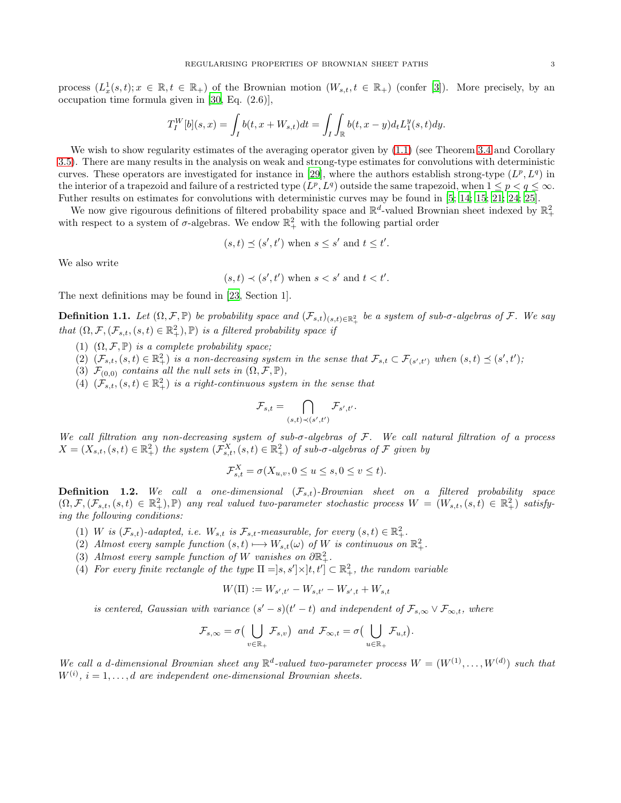process  $(L_x^1(s,t); x \in \mathbb{R}, t \in \mathbb{R}_+)$  of the Brownian motion  $(W_{s,t}, t \in \mathbb{R}_+)$  (confer [\[3](#page-22-1)]). More precisely, by an occupation time formula given in [\[30,](#page-23-3) Eq. (2.6)],

$$
T_I^W[b](s,x) = \int_I b(t,x+W_{s,t})dt = \int_I \int_{\mathbb{R}} b(t,x-y)d_tL_1^y(s,t)dy.
$$

We wish to show regularity estimates of the averaging operator given by  $(1.1)$  (see Theorem [3.4](#page-15-0) and Corollary [3.5\)](#page-15-1). There are many results in the analysis on weak and strong-type estimates for convolutions with deterministic curves. These operators are investigated for instance in [\[29\]](#page-23-0), where the authors establish strong-type  $(L^p, L^q)$  in the interior of a trapezoid and failure of a restricted type  $(L^p, L^q)$  outside the same trapezoid, when  $1 \leq p < q \leq \infty$ . Futher results on estimates for convolutions with deterministic curves may be found in [\[5](#page-22-10); [14;](#page-22-11) [15;](#page-23-9) [21;](#page-23-10) [24;](#page-23-11) [25\]](#page-23-12).

We now give rigourous definitions of filtered probability space and  $\mathbb{R}^d$ -valued Brownian sheet indexed by  $\mathbb{R}^2_+$ with respect to a system of  $\sigma$ -algebras. We endow  $\mathbb{R}^2_+$  with the following partial order

$$
(s,t) \preceq (s',t')
$$
 when  $s \leq s'$  and  $t \leq t'$ .

We also write

$$
(s,t) \prec (s',t') \text{ when } s < s' \text{ and } t < t'.
$$

The next definitions may be found in [\[23](#page-23-13), Section 1].

**Definition 1.1.** Let  $(\Omega, \mathcal{F}, \mathbb{P})$  be probability space and  $(\mathcal{F}_{s,t})_{(s,t)\in\mathbb{R}^2_+}$  be a system of sub- $\sigma$ -algebras of  $\mathcal{F}$ . We say that  $(\Omega, \mathcal{F}, (\mathcal{F}_{s,t}, (s,t) \in \mathbb{R}^2_+), \mathbb{P})$  is a filtered probability space if

- (1)  $(\Omega, \mathcal{F}, \mathbb{P})$  is a complete probability space;
- (2)  $(\mathcal{F}_{s,t},(s,t) \in \mathbb{R}^2_+)$  is a non-decreasing system in the sense that  $\mathcal{F}_{s,t} \subset \mathcal{F}_{(s',t')}$  when  $(s,t) \preceq (s',t')$ ;
- (3)  $\mathcal{F}_{(0,0)}$  contains all the null sets in  $(\Omega, \mathcal{F}, \mathbb{P}),$
- (4)  $(\mathcal{F}_{s,t}, (s,t) \in \mathbb{R}_+^2)$  is a right-continuous system in the sense that

$$
\mathcal{F}_{s,t} = \bigcap_{(s,t) \prec (s',t')} \mathcal{F}_{s',t'}.
$$

We call filtration any non-decreasing system of sub- $\sigma$ -algebras of F. We call natural filtration of a process  $X = (X_{s,t}, (s,t) \in \mathbb{R}^2_+)$  the system  $(\mathcal{F}_{s,t}^X, (s,t) \in \mathbb{R}^2_+)$  of sub- $\sigma$ -algebras of  $\mathcal F$  given by

$$
\mathcal{F}_{s,t}^X = \sigma(X_{u,v}, 0 \le u \le s, 0 \le v \le t).
$$

**Definition 1.2.** We call a one-dimensional  $(\mathcal{F}_{s,t})$ -Brownian sheet on a filtered probability space  $(\Omega, \mathcal{F}, (\mathcal{F}_{s,t}, (s,t) \in \mathbb{R}^2_+), \mathbb{P})$  any real valued two-parameter stochastic process  $W = (W_{s,t}, (s,t) \in \mathbb{R}^2_+)$  satisfying the following conditions:

- (1) W is  $(\mathcal{F}_{s,t})$ -adapted, i.e.  $W_{s,t}$  is  $\mathcal{F}_{s,t}$ -measurable, for every  $(s,t) \in \mathbb{R}_+^2$ .
- (2) Almost every sample function  $(s,t) \longmapsto W_{s,t}(\omega)$  of W is continuous on  $\mathbb{R}^2_+$ .
- (3) Almost every sample function of W vanishes on  $\partial \mathbb{R}^2_+$ .
- (4) For every finite rectangle of the type  $\Pi = [s, s'] \times [t, t'] \subset \mathbb{R}^2_+$ , the random variable

$$
W(\Pi):=W_{s',t'}-W_{s,t'}-W_{s',t}+W_{s,t}
$$

is centered, Gaussian with variance  $(s'-s)(t'-t)$  and independent of  $\mathcal{F}_{s,\infty} \vee \mathcal{F}_{\infty,t}$ , where

$$
\mathcal{F}_{s,\infty} = \sigma\big(\bigcup_{v \in \mathbb{R}_+} \mathcal{F}_{s,v}\big) \text{ and } \mathcal{F}_{\infty,t} = \sigma\big(\bigcup_{u \in \mathbb{R}_+} \mathcal{F}_{u,t}\big).
$$

We call a d-dimensional Brownian sheet any  $\mathbb{R}^d$ -valued two-parameter process  $W = (W^{(1)}, \ldots, W^{(d)})$  such that  $W^{(i)}$ ,  $i = 1, \ldots, d$  are independent one-dimensional Brownian sheets.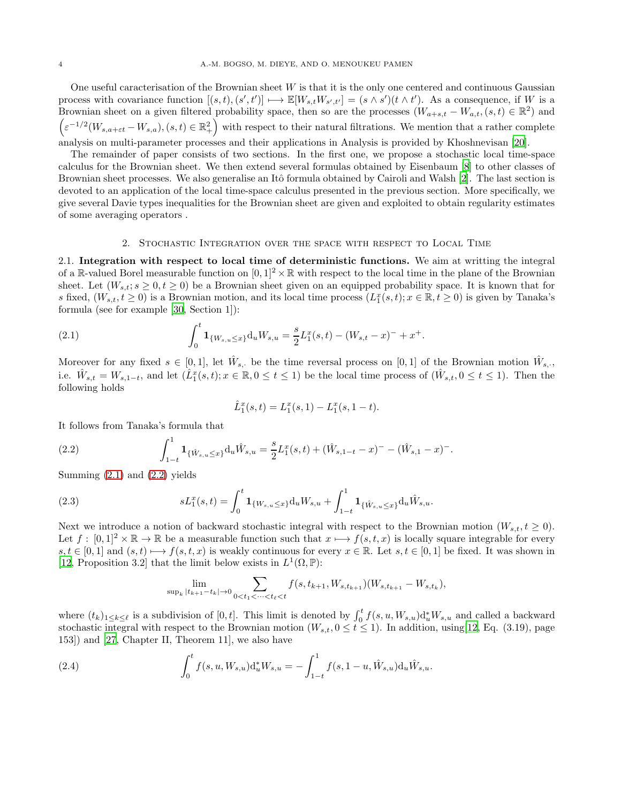One useful caracterisation of the Brownian sheet  $W$  is that it is the only one centered and continuous Gaussian process with covariance function  $[(s,t),(s',t')] \longmapsto \mathbb{E}[W_{s,t}W_{s',t'}] = (s \wedge s')(t \wedge t')$ . As a consequence, if W is a Brownian sheet on a given filtered probability space, then so are the processes  $(W_{a+s,t} - W_{a,t}, (s,t) \in \mathbb{R}^2)$  and  $\left(\varepsilon^{-1/2}(W_{s,a+\varepsilon t}-W_{s,a}), (s,t) \in \mathbb{R}^2_+\right)$  with respect to their natural filtrations. We mention that a rather complete analysis on multi-parameter processes and their applications in Analysis is provided by Khoshnevisan [\[20](#page-23-14)].

The remainder of paper consists of two sections. In the first one, we propose a stochastic local time-space calculus for the Brownian sheet. We then extend several formulas obtained by Eisenbaum [\[8\]](#page-22-0) to other classes of Brownian sheet processes. We also generalise an Itô formula obtained by Cairoli and Walsh [\[2\]](#page-22-6). The last section is devoted to an application of the local time-space calculus presented in the previous section. More specifically, we give several Davie types inequalities for the Brownian sheet are given and exploited to obtain regularity estimates of some averaging operators .

#### 2. Stochastic Integration over the space with respect to Local Time

<span id="page-3-4"></span>2.1. Integration with respect to local time of deterministic functions. We aim at writting the integral of a R-valued Borel measurable function on  $[0, 1]^2 \times \mathbb{R}$  with respect to the local time in the plane of the Brownian sheet. Let  $(W_{s,t}; s \geq 0, t \geq 0)$  be a Brownian sheet given on an equipped probability space. It is known that for s fixed,  $(W_{s,t}, t \ge 0)$  is a Brownian motion, and its local time process  $(L_1^x(s,t); x \in \mathbb{R}, t \ge 0)$  is given by Tanaka's formula (see for example [\[30](#page-23-3), Section 1]):

<span id="page-3-0"></span>(2.1) 
$$
\int_0^t \mathbf{1}_{\{W_{s,u} \leq x\}} \mathrm{d}_u W_{s,u} = \frac{s}{2} L_1^x(s,t) - (W_{s,t} - x)^- + x^+.
$$

Moreover for any fixed  $s \in [0,1]$ , let  $\hat{W}_{s}$ , be the time reversal process on  $[0,1]$  of the Brownian motion  $\hat{W}_{s}$ , i.e.  $\hat{W}_{s,t} = W_{s,1-t}$ , and let  $(\hat{L}_1^x(s,t); x \in \mathbb{R}, 0 \le t \le 1)$  be the local time process of  $(\hat{W}_{s,t}, 0 \le t \le 1)$ . Then the following holds

$$
\hat{L}_1^x(s,t) = L_1^x(s,1) - L_1^x(s,1-t).
$$

It follows from Tanaka's formula that

<span id="page-3-1"></span>(2.2) 
$$
\int_{1-t}^1 \mathbf{1}_{\{\hat{W}_{s,u} \leq x\}} \mathrm{d}_u \hat{W}_{s,u} = \frac{s}{2} L_1^x(s,t) + (\hat{W}_{s,1-t} - x)^- - (\hat{W}_{s,1} - x)^-.
$$

Summing  $(2.1)$  and  $(2.2)$  yields

<span id="page-3-2"></span>(2.3) 
$$
sL_1^x(s,t) = \int_0^t \mathbf{1}_{\{W_{s,u} \le x\}} \mathrm{d}_u W_{s,u} + \int_{1-t}^1 \mathbf{1}_{\{\hat{W}_{s,u} \le x\}} \mathrm{d}_u \hat{W}_{s,u}.
$$

Next we introduce a notion of backward stochastic integral with respect to the Brownian motion  $(W_{s,t}, t \geq 0)$ . Let  $f : [0,1]^2 \times \mathbb{R} \to \mathbb{R}$  be a measurable function such that  $x \mapsto f(s,t,x)$  is locally square integrable for every  $s, t \in [0, 1]$  and  $(s, t) \mapsto f(s, t, x)$  is weakly continuous for every  $x \in \mathbb{R}$ . Let  $s, t \in [0, 1]$  be fixed. It was shown in [\[12](#page-22-12), Proposition 3.2] that the limit below exists in  $L^1(\Omega, \mathbb{P})$ :

$$
\lim_{\sup_k |t_{k+1}-t_k| \to 0} \sum_{0 < t_1 < \dots < t_\ell < t} f(s, t_{k+1}, W_{s, t_{k+1}}) (W_{s, t_{k+1}} - W_{s, t_k}),
$$

where  $(t_k)_{1\leq k\leq \ell}$  is a subdivision of  $[0,t]$ . This limit is denoted by  $\int_0^t f(s, u, W_{s,u})d_u^*W_{s,u}$  and called a backward stochastic integral with respect to the Brownian motion  $(W_{s,t}, 0 \le t \le 1)$ . In addition, using [\[12,](#page-22-12) Eq. (3.19), page 153]) and [\[27,](#page-23-15) Chapter II, Theorem 11], we also have

<span id="page-3-3"></span>(2.4) 
$$
\int_0^t f(s, u, W_{s,u}) d_u^* W_{s,u} = -\int_{1-t}^1 f(s, 1-u, \hat{W}_{s,u}) d_u \hat{W}_{s,u}.
$$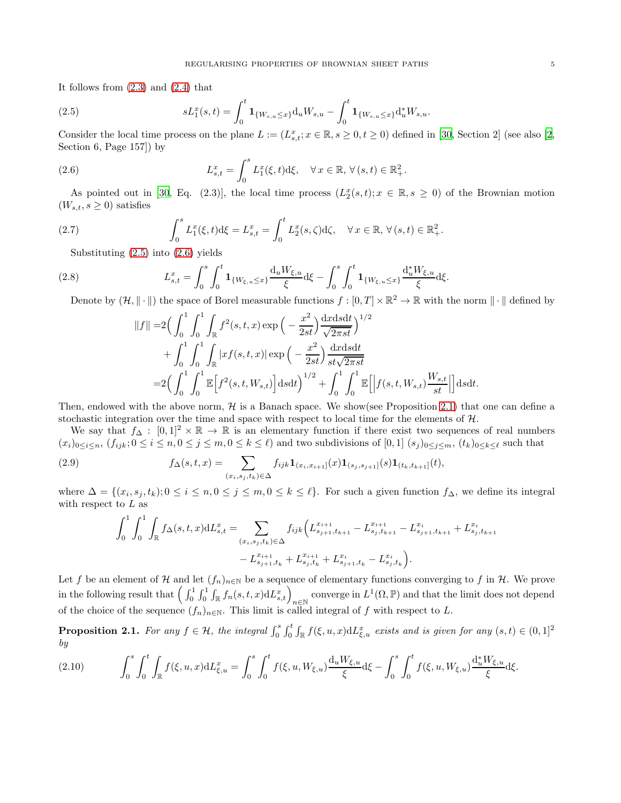It follows from [\(2.3\)](#page-3-2) and [\(2.4\)](#page-3-3) that

<span id="page-4-0"></span>(2.5) 
$$
sL_1^x(s,t) = \int_0^t \mathbf{1}_{\{W_{s,u} \le x\}} \mathrm{d}_u W_{s,u} - \int_0^t \mathbf{1}_{\{W_{s,u} \le x\}} \mathrm{d}_u^* W_{s,u}.
$$

Consider the local time process on the plane  $L := (L_{s,t}^x; x \in \mathbb{R}, s \ge 0, t \ge 0)$  defined in [\[30,](#page-23-3) Section 2] (see also [\[2](#page-22-6), Section 6, Page 157]) by

<span id="page-4-1"></span>(2.6) 
$$
L_{s,t}^x = \int_0^s L_1^x(\xi, t) \mathrm{d}\xi, \quad \forall \, x \in \mathbb{R}, \, \forall \, (s, t) \in \mathbb{R}_+^2.
$$

As pointed out in [\[30,](#page-23-3) Eq. (2.3)], the local time process  $(L_2^x(s,t); x \in \mathbb{R}, s \geq 0)$  of the Brownian motion  $(W_{s,t}, s \geq 0)$  satisfies

(2.7) 
$$
\int_0^s L_1^x(\xi, t) d\xi = L_{s,t}^x = \int_0^t L_2^x(s, \zeta) d\zeta, \quad \forall x \in \mathbb{R}, \forall (s, t) \in \mathbb{R}_+^2.
$$

Substituting [\(2.5\)](#page-4-0) into [\(2.6\)](#page-4-1) yields

<span id="page-4-4"></span>(2.8) 
$$
L_{s,t}^{x} = \int_{0}^{s} \int_{0}^{t} \mathbf{1}_{\{W_{\xi,u} \leq x\}} \frac{d_{u} W_{\xi,u}}{\xi} d\xi - \int_{0}^{s} \int_{0}^{t} \mathbf{1}_{\{W_{\xi,u} \leq x\}} \frac{d_{u}^{*} W_{\xi,u}}{\xi} d\xi.
$$

Denote by  $(\mathcal{H}, \|\cdot\|)$  the space of Borel measurable functions  $f : [0, T] \times \mathbb{R}^2 \to \mathbb{R}$  with the norm  $\|\cdot\|$  defined by

$$
||f|| = 2\left(\int_0^1 \int_0^1 \int_{\mathbb{R}} f^2(s, t, x) \exp\left(-\frac{x^2}{2st}\right) \frac{dx ds dt}{\sqrt{2\pi st}}\right)^{1/2} + \int_0^1 \int_0^1 \int_{\mathbb{R}} |xf(s, t, x)| \exp\left(-\frac{x^2}{2st}\right) \frac{dx ds dt}{st \sqrt{2\pi st}} = 2\left(\int_0^1 \int_0^1 \mathbb{E}\left[f^2(s, t, W_{s,t})\right] ds dt\right)^{1/2} + \int_0^1 \int_0^1 \mathbb{E}\left[\left|f(s, t, W_{s,t})\frac{W_{s,t}}{st}\right|\right] ds dt.
$$

Then, endowed with the above norm,  $\mathcal{H}$  is a Banach space. We show(see Proposition [2.1\)](#page-4-2) that one can define a stochastic integration over the time and space with respect to local time for the elements of  $H$ .

We say that  $f_{\Delta}: [0,1]^2 \times \mathbb{R} \to \mathbb{R}$  is an elementary function if there exist two sequences of real numbers  $(x_i)_{0\leq i\leq n}$ ,  $(f_{ijk}; 0\leq i\leq n, 0\leq j\leq m, 0\leq k\leq \ell)$  and two subdivisions of  $[0,1]$   $(s_j)_{0\leq j\leq m}$ ,  $(t_k)_{0\leq k\leq \ell}$  such that

<span id="page-4-3"></span>(2.9) 
$$
f_{\Delta}(s,t,x) = \sum_{(x_i,s_j,t_k)\in\Delta} f_{ijk} \mathbf{1}_{(x_i,x_{i+1}]}(x) \mathbf{1}_{(s_j,s_{j+1}]}(s) \mathbf{1}_{(t_k,t_{k+1}]}(t),
$$

where  $\Delta = \{(x_i, s_j, t_k); 0 \le i \le n, 0 \le j \le m, 0 \le k \le \ell\}$ . For such a given function  $f_{\Delta}$ , we define its integral with respect to  $L$  as

$$
\int_0^1 \int_0^1 \int_{\mathbb{R}} f_{\Delta}(s, t, x) dL_{s,t}^x = \sum_{(x_i, s_j, t_k) \in \Delta} f_{ijk} \Big( L_{s_{j+1}, t_{k+1}}^{x_{i+1}} - L_{s_j, t_{k+1}}^{x_{i+1}} - L_{s_{j+1}, t_{k+1}}^{x_i} + L_{s_j, t_{k+1}}^{x_i} - L_{s_{j+1}, t_k}^{x_i} - L_{s_{j+1}, t_k}^{x_{i+1}} - L_{s_{j+1}, t_k}^{x_i} - L_{s_j, t_k}^{x_i} \Big).
$$

Let f be an element of H and let  $(f_n)_{n\in\mathbb{N}}$  be a sequence of elementary functions converging to f in H. We prove in the following result that  $\left(\int_0^1 \int_0^1 \int_{\mathbb{R}} f_n(s,t,x) dL_{s,t}^x\right)_{n \in \mathbb{N}}$  converge in  $L^1(\Omega,\mathbb{P})$  and that the limit does not depend of the choice of the sequence  $(f_n)_{n\in\mathbb{N}}$ . This limit is called integral of f with respect to L.

<span id="page-4-2"></span>**Proposition 2.1.** For any  $f \in \mathcal{H}$ , the integral  $\int_0^s \int_0^t \int_{\mathbb{R}} f(\xi, u, x) dL_{\xi, u}^x$  exists and is given for any  $(s, t) \in (0, 1]^2$ by

<span id="page-4-5"></span>
$$
(2.10) \qquad \int_0^s \int_0^t \int_{\mathbb{R}} f(\xi, u, x) \mathrm{d}L_{\xi, u}^x = \int_0^s \int_0^t f(\xi, u, W_{\xi, u}) \frac{\mathrm{d}_u W_{\xi, u}}{\xi} \mathrm{d}\xi - \int_0^s \int_0^t f(\xi, u, W_{\xi, u}) \frac{\mathrm{d}_u^* W_{\xi, u}}{\xi} \mathrm{d}\xi.
$$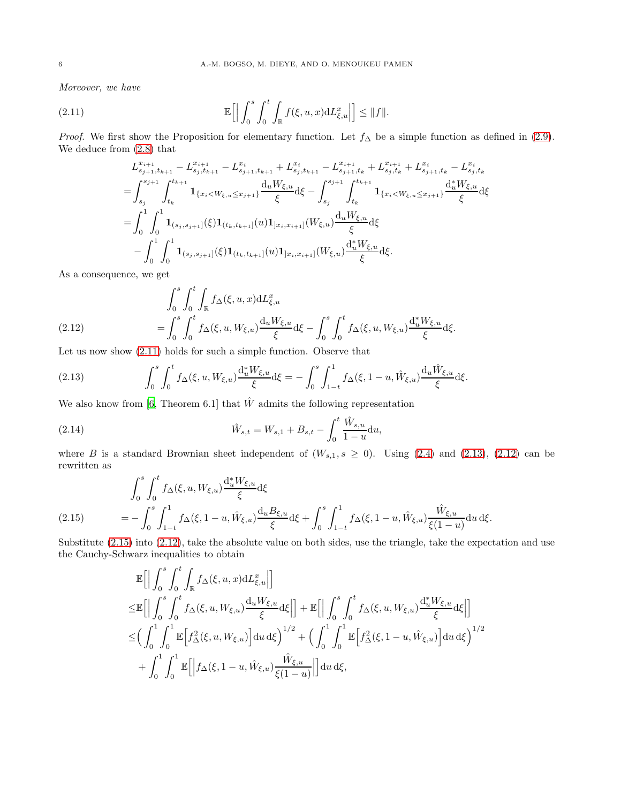Moreover, we have

<span id="page-5-0"></span>(2.11) 
$$
\mathbb{E}\Big[\Big|\int_0^s\int_0^t\int_{\mathbb{R}}f(\xi,u,x)\mathrm{d}L_{\xi,u}^x\Big|\Big]\leq\|f\|.
$$

*Proof.* We first show the Proposition for elementary function. Let  $f_$ Delta be a simple function as defined in [\(2.9\)](#page-4-3). We deduce from [\(2.8\)](#page-4-4) that

$$
L_{s_{j+1},t_{k+1}}^{x_{i+1}} - L_{s_{j},t_{k+1}}^{x_{i+1}} - L_{s_{j+1},t_{k+1}}^{x_i} + L_{s_{j},t_{k+1}}^{x_{i+1}} - L_{s_{j+1},t_k}^{x_{i+1}} + L_{s_{j},t_k}^{x_{i+1}} + L_{s_{j+1},t_k}^{x_i} - L_{s_{j},t_k}^{x_i}
$$
  
\n
$$
= \int_{s_j}^{s_{j+1}} \int_{t_k}^{t_{k+1}} \mathbf{1}_{\{x_i < W_{\xi,u} \leq x_{j+1}\}} \frac{d_u W_{\xi,u}}{\xi} d\xi - \int_{s_j}^{s_{j+1}} \int_{t_k}^{t_{k+1}} \mathbf{1}_{\{x_i < W_{\xi,u} \leq x_{j+1}\}} \frac{d_u W_{\xi,u}}{\xi} d\xi
$$
  
\n
$$
= \int_0^1 \int_0^1 \mathbf{1}_{(s_j, s_{j+1}]}(\xi) \mathbf{1}_{(t_k, t_{k+1}]}(u) \mathbf{1}_{]x_i, x_{i+1}]}(W_{\xi,u}) \frac{d_u W_{\xi,u}}{\xi} d\xi
$$
  
\n
$$
- \int_0^1 \int_0^1 \mathbf{1}_{(s_j, s_{j+1}]}(\xi) \mathbf{1}_{(t_k, t_{k+1}]}(u) \mathbf{1}_{]x_i, x_{i+1}]}(W_{\xi,u}) \frac{d_u W_{\xi,u}}{\xi} d\xi.
$$

As a consequence, we get

(2.12) 
$$
\int_{0}^{s} \int_{0}^{t} \int_{\mathbb{R}} f_{\Delta}(\xi, u, x) dL_{\xi, u}^{x} d\xi - \int_{0}^{s} \int_{0}^{t} f_{\Delta}(\xi, u, W_{\xi, u}) \frac{d_{u} W_{\xi, u}}{\xi} d\xi.
$$

<span id="page-5-2"></span>Let us now show [\(2.11\)](#page-5-0) holds for such a simple function. Observe that

<span id="page-5-1"></span>(2.13) 
$$
\int_0^s \int_0^t f_{\Delta}(\xi, u, W_{\xi, u}) \frac{d_u^* W_{\xi, u}}{\xi} d\xi = - \int_0^s \int_{1-t}^1 f_{\Delta}(\xi, 1-u, \hat{W}_{\xi, u}) \frac{d_u \hat{W}_{\xi, u}}{\xi} d\xi.
$$

We also know from [\[6](#page-22-5), Theorem 6.1] that  $\hat{W}$  admits the following representation

<span id="page-5-4"></span>(2.14) 
$$
\hat{W}_{s,t} = W_{s,1} + B_{s,t} - \int_0^t \frac{\hat{W}_{s,u}}{1-u} \mathrm{d}u,
$$

where B is a standard Brownian sheet independent of  $(W_{s,1}, s \ge 0)$ . Using [\(2.4\)](#page-3-3) and [\(2.13\)](#page-5-1), [\(2.12\)](#page-5-2) can be rewritten as

$$
\int_0^s \int_0^t f_{\Delta}(\xi, u, W_{\xi, u}) \frac{d_u^* W_{\xi, u}}{\xi} d\xi
$$
\n(2.15) 
$$
= - \int_0^s \int_{1-t}^1 f_{\Delta}(\xi, 1-u, \hat{W}_{\xi, u}) \frac{d_u B_{\xi, u}}{\xi} d\xi + \int_0^s \int_{1-t}^1 f_{\Delta}(\xi, 1-u, \hat{W}_{\xi, u}) \frac{\hat{W}_{\xi, u}}{\xi(1-u)} du d\xi.
$$

<span id="page-5-3"></span>Substitute [\(2.15\)](#page-5-3) into [\(2.12\)](#page-5-2), take the absolute value on both sides, use the triangle, take the expectation and use the Cauchy-Schwarz inequalities to obtain

$$
\mathbb{E}\Big[\Big|\int_0^s \int_0^t \int_{\mathbb{R}} f_{\Delta}(\xi, u, x) dL_{\xi, u}^x\Big|\Big] \n\leq \mathbb{E}\Big[\Big|\int_0^s \int_0^t f_{\Delta}(\xi, u, W_{\xi, u}) \frac{d_u W_{\xi, u}}{\xi} d\xi\Big|\Big] + \mathbb{E}\Big[\Big|\int_0^s \int_0^t f_{\Delta}(\xi, u, W_{\xi, u}) \frac{d_u W_{\xi, u}}{\xi} d\xi\Big|\Big] \n\leq \Big(\int_0^1 \int_0^1 \mathbb{E}\Big[f_{\Delta}^2(\xi, u, W_{\xi, u}) \Big] du d\xi\Big)^{1/2} + \Big(\int_0^1 \int_0^1 \mathbb{E}\Big[f_{\Delta}^2(\xi, 1 - u, \hat{W}_{\xi, u}) \Big] du d\xi\Big)^{1/2} \n+ \int_0^1 \int_0^1 \mathbb{E}\Big[\Big|f_{\Delta}(\xi, 1 - u, \hat{W}_{\xi, u}) \frac{\hat{W}_{\xi, u}}{\xi(1 - u)}\Big|\Big] du d\xi,
$$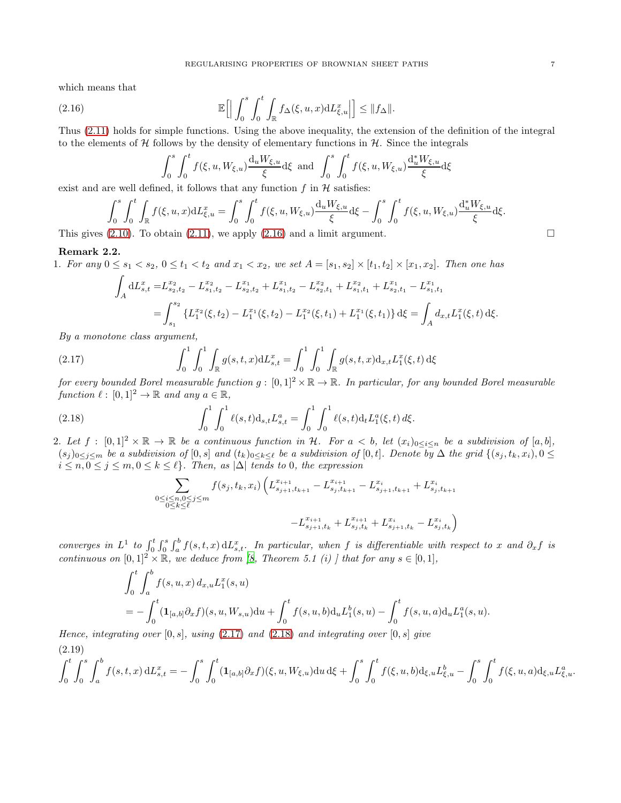which means that

<span id="page-6-0"></span>(2.16) 
$$
\mathbb{E}\Big[\Big|\int_0^s \int_0^t \int_{\mathbb{R}} f_{\Delta}(\xi, u, x) dL_{\xi, u}^x\Big|\Big] \leq \|f_{\Delta}\|.
$$

Thus [\(2.11\)](#page-5-0) holds for simple functions. Using the above inequality, the extension of the definition of the integral to the elements of  $H$  follows by the density of elementary functions in  $H$ . Since the integrals

$$
\int_0^s \int_0^t f(\xi, u, W_{\xi, u}) \frac{du W_{\xi, u}}{\xi} d\xi \text{ and } \int_0^s \int_0^t f(\xi, u, W_{\xi, u}) \frac{d_u^* W_{\xi, u}}{\xi} d\xi
$$

exist and are well defined, it follows that any function  $f$  in  $H$  satisfies:

$$
\int_0^s \int_0^t \int_{\mathbb{R}} f(\xi, u, x) dL_{\xi, u}^x = \int_0^s \int_0^t f(\xi, u, W_{\xi, u}) \frac{d_u W_{\xi, u}}{\xi} d\xi - \int_0^s \int_0^t f(\xi, u, W_{\xi, u}) \frac{d_u^* W_{\xi, u}}{\xi} d\xi.
$$
\n(2.10) To obtain (2.11) we apply (2.16) and a limit argument

This gives [\(2.10\)](#page-4-5). To obtain [\(2.11\)](#page-5-0), we apply [\(2.16\)](#page-6-0) and a limit argument.  $\square$ 

## <span id="page-6-3"></span>Remark 2.2.

1. For any  $0 \le s_1 < s_2$ ,  $0 \le t_1 < t_2$  and  $x_1 < x_2$ , we set  $A = [s_1, s_2] \times [t_1, t_2] \times [x_1, x_2]$ . Then one has  $\mathbf{r}$ 

$$
\int_{A} dL_{s,t}^{x} = L_{s_{2},t_{2}}^{x_{2}} - L_{s_{1},t_{2}}^{x_{2}} - L_{s_{2},t_{2}}^{x_{1}} + L_{s_{1},t_{2}}^{x_{1}} - L_{s_{2},t_{1}}^{x_{2}} + L_{s_{1},t_{1}}^{x_{2}} + L_{s_{2},t_{1}}^{x_{1}} - L_{s_{1},t_{1}}^{x_{1}}
$$
\n
$$
= \int_{s_{1}}^{s_{2}} \left\{ L_{1}^{x_{2}}(\xi,t_{2}) - L_{1}^{x_{1}}(\xi,t_{2}) - L_{1}^{x_{2}}(\xi,t_{1}) + L_{1}^{x_{1}}(\xi,t_{1}) \right\} d\xi = \int_{A} d_{x,t} L_{1}^{x}(\xi,t) d\xi.
$$

By a monotone class argument,

<span id="page-6-1"></span>(2.17) 
$$
\int_0^1 \int_0^1 \int_{\mathbb{R}} g(s, t, x) dL_{s,t}^x = \int_0^1 \int_0^1 \int_{\mathbb{R}} g(s, t, x) d_{x,t} L_1^x(\xi, t) d\xi
$$

for every bounded Borel measurable function  $g:[0,1]^2\times\mathbb{R}\to\mathbb{R}$ . In particular, for any bounded Borel measurable function  $\ell : [0,1]^2 \to \mathbb{R}$  and any  $a \in \mathbb{R}$ ,

<span id="page-6-2"></span>(2.18) 
$$
\int_0^1 \int_0^1 \ell(s,t) \mathrm{d}_{s,t} L_{s,t}^a = \int_0^1 \int_0^1 \ell(s,t) \mathrm{d}_t L_1^a(\xi,t) \, d\xi.
$$

2. Let  $f : [0,1]^2 \times \mathbb{R} \to \mathbb{R}$  be a continuous function in H. For  $a < b$ , let  $(x_i)_{0 \leq i \leq n}$  be a subdivision of  $[a,b]$ ,  $(s_j)_{0\leq j\leq m}$  be a subdivision of  $[0, s]$  and  $(t_k)_{0\leq k\leq \ell}$  be a subdivision of  $[0, t]$ . Denote by  $\Delta$  the grid  $\{(s_j, t_k, x_i), 0\leq s\leq \ell\}$  $i \leq n, 0 \leq j \leq m, 0 \leq k \leq \ell$ . Then, as  $|\Delta|$  tends to 0, the expression

$$
\sum_{\substack{0 \le i \le n, 0 \le j \le m \\ 0 \le k \le \ell}} f(s_j, t_k, x_i) \left( L_{s_{j+1}, t_{k+1}}^{x_{i+1}} - L_{s_j, t_{k+1}}^{x_{i+1}} - L_{s_{j+1}, t_{k+1}}^{x_i} + L_{s_j, t_{k+1}}^{x_i} \right)
$$

$$
-L_{s_{j+1}, t_k}^{x_{i+1}} + L_{s_j, t_k}^{x_i} + L_{s_{j+1}, t_k}^{x_i} - L_{s_j, t_k}^{x_i} \right)
$$

converges in  $L^1$  to  $\int_0^t \int_0^s \int_a^b f(s,t,x) dL_{s,t}^x$ . In particular, when f is differentiable with respect to x and  $\partial_x f$  is continuous on  $[0,1]^2 \times \mathbb{R}$ , we deduce from [\[8,](#page-22-0) Theorem 5.1 (i)] that for any  $s \in [0,1]$ ,

$$
\int_0^t \int_a^b f(s, u, x) d_{x,u} L_1^x(s, u)
$$
\n
$$
= - \int_0^t (\mathbf{1}_{[a,b]} \partial_x f)(s, u, W_{s,u}) \mathrm{d}u + \int_0^t f(s, u, b) \mathrm{d}_u L_1^b(s, u) - \int_0^t f(s, u, a) \mathrm{d}_u L_1^a(s, u).
$$

Hence, integrating over  $[0, s]$ , using  $(2.17)$  and  $(2.18)$  and integrating over  $[0, s]$  give (2.19)

$$
\int_0^t \int_0^s \int_a^b f(s, t, x) dL_{s,t}^x = -\int_0^s \int_0^t (\mathbf{1}_{[a,b]} \partial_x f)(\xi, u, W_{\xi, u}) du d\xi + \int_0^s \int_0^t f(\xi, u, b) d_{\xi, u} L_{\xi, u}^b - \int_0^s \int_0^t f(\xi, u, a) d_{\xi, u} L_{\xi, u}^a.
$$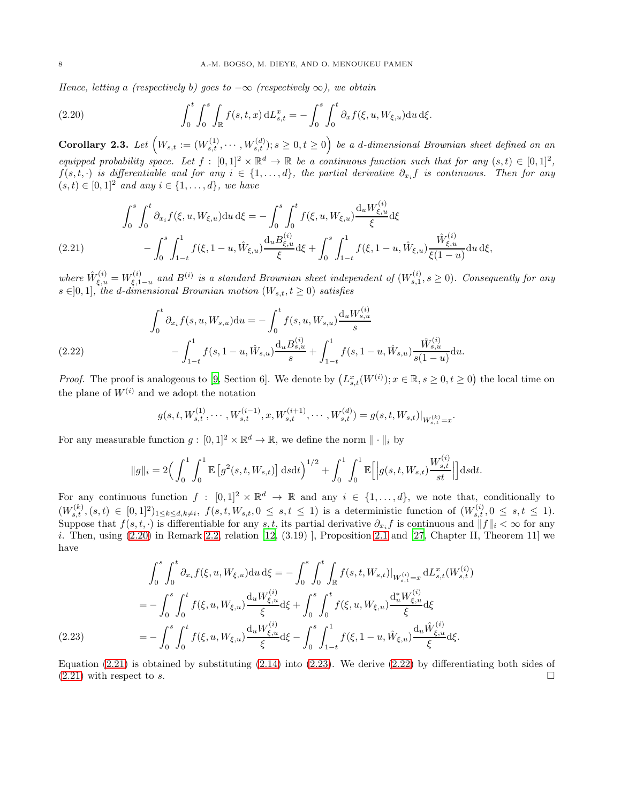Hence, letting a (respectively b) goes to  $-\infty$  (respectively  $\infty$ ), we obtain

<span id="page-7-0"></span>(2.20) 
$$
\int_0^t \int_0^s \int_{\mathbb{R}} f(s, t, x) dL_{s,t}^x = - \int_0^s \int_0^t \partial_x f(\xi, u, W_{\xi, u}) du d\xi.
$$

Corollary 2.3. Let  $\left(W_{s,t} := (W_{s,t}^{(1)}, \cdots, W_{s,t}^{(d)}); s \geq 0, t \geq 0\right)$  be a d-dimensional Brownian sheet defined on an equipped probability space. Let  $f : [0,1]^2 \times \mathbb{R}^d \to \mathbb{R}$  be a continuous function such that for any  $(s,t) \in [0,1]^2$ ,  $f(s,t,\cdot)$  is differentiable and for any  $i \in \{1,\ldots,d\}$ , the partial derivative  $\partial_{x_i}f$  is continuous. Then for any  $(s, t) \in [0, 1]^2$  and any  $i \in \{1, ..., d\}$ , we have

$$
\int_{0}^{s} \int_{0}^{t} \partial_{x_{i}} f(\xi, u, W_{\xi, u}) \, du \, d\xi = -\int_{0}^{s} \int_{0}^{t} f(\xi, u, W_{\xi, u}) \frac{d_{u} W_{\xi, u}^{(i)}}{\xi} d\xi \n- \int_{0}^{s} \int_{1-t}^{1} f(\xi, 1-u, \hat{W}_{\xi, u}) \frac{d_{u} B_{\xi, u}^{(i)}}{\xi} d\xi + \int_{0}^{s} \int_{1-t}^{1} f(\xi, 1-u, \hat{W}_{\xi, u}) \frac{\hat{W}_{\xi, u}^{(i)}}{\xi(1-u)} \, du \, d\xi,
$$

<span id="page-7-1"></span>where  $\hat{W}_{\xi,u}^{(i)} = W_{\xi,1}^{(i)}$  $\mathcal{L}_{\xi,1-u}^{(i)}$  and  $B^{(i)}$  is a standard Brownian sheet independent of  $(W_{s,1}^{(i)}, s \ge 0)$ . Consequently for any  $s \in ]0,1]$ , the d-dimensional Brownian motion  $(W_{s,t}, t \ge 0)$  satisfies

(2.22) 
$$
\int_0^t \partial_{x_i} f(s, u, W_{s,u}) \mathrm{d}u = -\int_0^t f(s, u, W_{s,u}) \frac{\mathrm{d}_u W_{s,u}^{(i)}}{s} - \int_{1-t}^1 f(s, 1-u, \hat{W}_{s,u}) \frac{\mathrm{d}_u B_{s,u}^{(i)}}{s} + \int_{1-t}^1 f(s, 1-u, \hat{W}_{s,u}) \frac{\hat{W}_{s,u}^{(i)}}{s(1-u)} \mathrm{d}u.
$$

<span id="page-7-3"></span>*Proof.* The proof is analogeous to [\[9](#page-22-2), Section 6]. We denote by  $(L_{s,t}^x(W^{(i)}); x \in \mathbb{R}, s \ge 0, t \ge 0)$  the local time on the plane of  $W^{(i)}$  and we adopt the notation

$$
g(s, t, W_{s,t}^{(1)}, \cdots, W_{s,t}^{(i-1)}, x, W_{s,t}^{(i+1)}, \cdots, W_{s,t}^{(d)}) = g(s, t, W_{s,t})|_{W_{s,t}^{(k)} = x}.
$$

For any measurable function  $g: [0,1]^2 \times \mathbb{R}^d \to \mathbb{R}$ , we define the norm  $\|\cdot\|_i$  by

$$
\|g\|_{i} = 2\Big(\int_{0}^{1} \int_{0}^{1} \mathbb{E}\left[g^{2}(s,t,W_{s,t})\right] dsdt\Big)^{1/2} + \int_{0}^{1} \int_{0}^{1} \mathbb{E}\Big[\Big|g(s,t,W_{s,t})\frac{W_{s,t}^{(i)}}{st}\Big|\Big] dsdt.
$$

For any continuous function  $f : [0,1]^2 \times \mathbb{R}^d \to \mathbb{R}$  and any  $i \in \{1,\ldots,d\}$ , we note that, conditionally to  $(W_{s,t}^{(k)},(s,t) \in [0,1]^2)_{1 \leq k \leq d, k \neq i}$ ,  $f(s,t,W_{s,t},0 \leq s,t \leq 1)$  is a deterministic function of  $(W_{s,t}^{(i)},0 \leq s,t \leq 1)$ . Suppose that  $f(s, t, \cdot)$  is differentiable for any s, t, its partial derivative  $\partial_{x_i} f$  is continuous and  $||f||_i < \infty$  for any i. Then, using  $(2.20)$  in Remark [2.2,](#page-6-3) relation  $[12, (3.19)]$ , Proposition [2.1](#page-4-2) and  $[27,$  Chapter II, Theorem 11] we have

$$
\int_{0}^{s} \int_{0}^{t} \partial_{x_{i}} f(\xi, u, W_{\xi, u}) \, du \, d\xi = -\int_{0}^{s} \int_{0}^{t} \int_{\mathbb{R}} f(s, t, W_{s, t}) \big|_{W_{s, t}^{(i)} = x} \, dL_{s, t}^{x} (W_{s, t}^{(i)})
$$
\n
$$
= -\int_{0}^{s} \int_{0}^{t} f(\xi, u, W_{\xi, u}) \frac{d_{u} W_{\xi, u}^{(i)}}{\xi} d\xi + \int_{0}^{s} \int_{0}^{t} f(\xi, u, W_{\xi, u}) \frac{d_{u}^{*} W_{\xi, u}^{(i)}}{\xi} d\xi
$$
\n
$$
= -\int_{0}^{s} \int_{0}^{t} f(\xi, u, W_{\xi, u}) \frac{d_{u} W_{\xi, u}^{(i)}}{\xi} d\xi - \int_{0}^{s} \int_{1-t}^{1} f(\xi, 1 - u, \hat{W}_{\xi, u}) \frac{d_{u} \hat{W}_{\xi, u}^{(i)}}{\xi} d\xi.
$$

<span id="page-7-2"></span>Equation  $(2.21)$  is obtained by substituting  $(2.14)$  into  $(2.23)$ . We derive  $(2.22)$  by differentiating both sides of  $(2.21)$  with respect to s.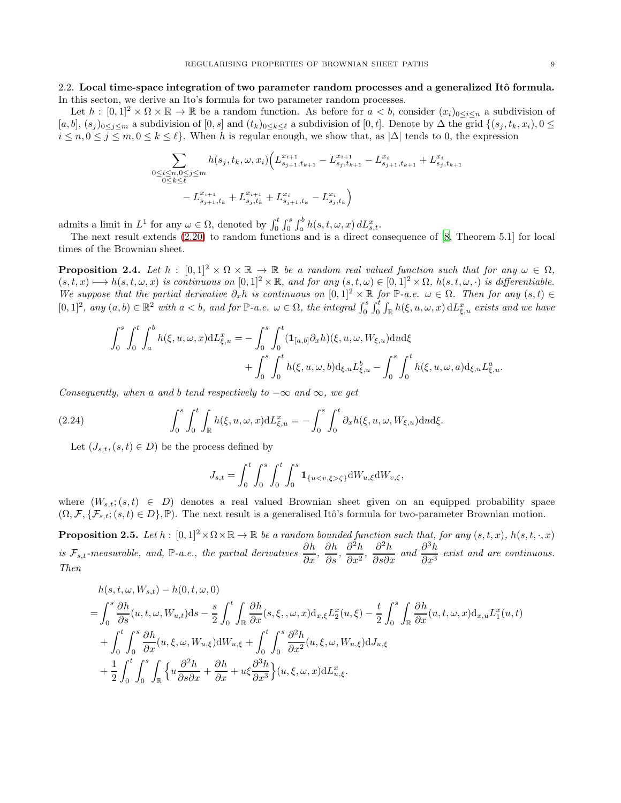## 2.2. Local time-space integration of two parameter random processes and a generalized Itô formula. In this secton, we derive an Ito's formula for two parameter random processes.

Let  $h : [0,1]^2 \times \Omega \times \mathbb{R} \to \mathbb{R}$  be a random function. As before for  $a < b$ , consider  $(x_i)_{0 \leq i \leq n}$  a subdivision of  $[a, b], (s_j)_{0 \leq j \leq m}$  a subdivision of  $[0, s]$  and  $(t_k)_{0 \leq k \leq \ell}$  a subdivision of  $[0, t]$ . Denote by  $\Delta$  the grid  $\{(s_j, t_k, x_i), 0 \leq j \leq m\}$  $i \leq n, 0 \leq j \leq m, 0 \leq k \leq \ell$ . When h is regular enough, we show that, as  $|\Delta|$  tends to 0, the expression

$$
\sum_{\substack{0 \le i \le n, 0 \le j \le m \\ 0 \le k \le \ell}} h(s_j, t_k, \omega, x_i) \Big( L_{s_{j+1}, t_{k+1}}^{x_{i+1}} - L_{s_j, t_{k+1}}^{x_{i+1}} - L_{s_{j+1}, t_{k+1}}^{x_i} + L_{s_j, t_{k+1}}^{x_i} - L_{s_{j+1}, t_k}^{x_i} + L_{s_j, t_k}^{x_{i+1}} \Big)
$$

admits a limit in  $L^1$  for any  $\omega \in \Omega$ , denoted by  $\int_0^t \int_0^s \int_a^b h(s, t, \omega, x) dL_{s,t}^x$ .

The next result extends [\(2.20\)](#page-7-0) to random functions and is a direct consequence of [\[8](#page-22-0), Theorem 5.1] for local times of the Brownian sheet.

**Proposition 2.4.** Let  $h : [0,1]^2 \times \Omega \times \mathbb{R} \to \mathbb{R}$  be a random real valued function such that for any  $\omega \in \Omega$ ,  $(s, t, x) \rightarrow h(s, t, \omega, x)$  is continuous on  $[0, 1]^2 \times \mathbb{R}$ , and for any  $(s, t, \omega) \in [0, 1]^2 \times \Omega$ ,  $h(s, t, \omega, \cdot)$  is differentiable. We suppose that the partial derivative  $\partial_x h$  is continuous on  $[0,1]^2 \times \mathbb{R}$  for  $\mathbb{P}\text{-}a.e.$   $\omega \in \Omega$ . Then for any  $(s,t) \in$  $[0,1]^2$ , any  $(a,b) \in \mathbb{R}^2$  with  $a < b$ , and for  $\mathbb{P}\text{-}a.e.$   $\omega \in \Omega$ , the integral  $\int_0^s \int_0^t \int_{\mathbb{R}} h(\xi, u, \omega, x) dL_{\xi, u}^x$  exists and we have

$$
\int_{0}^{s} \int_{0}^{t} \int_{a}^{b} h(\xi, u, \omega, x) dL_{\xi, u}^{x} = -\int_{0}^{s} \int_{0}^{t} (\mathbf{1}_{[a,b]} \partial_{x} h)(\xi, u, \omega, W_{\xi, u}) dud\xi + \int_{0}^{s} \int_{0}^{t} h(\xi, u, \omega, b) d_{\xi, u} L_{\xi, u}^{b} - \int_{0}^{s} \int_{0}^{t} h(\xi, u, \omega, a) d_{\xi, u} L_{\xi, u}^{a}.
$$

Consequently, when a and b tend respectively to  $-\infty$  and  $\infty$ , we get

(2.24) 
$$
\int_0^s \int_0^t \int_{\mathbb{R}} h(\xi, u, \omega, x) dL_{\xi, u}^x = - \int_0^s \int_0^t \partial_x h(\xi, u, \omega, W_{\xi, u}) dud\xi.
$$

Let  $(J_{s,t},(s,t)\in D)$  be the process defined by

$$
J_{s,t} = \int_0^t \int_0^s \int_0^t \int_0^s \mathbf{1}_{\{u < v, \xi > \zeta\}} dW_{u,\xi} dW_{v,\zeta},
$$

where  $(W_{s,t}; (s,t) \in D)$  denotes a real valued Brownian sheet given on an equipped probability space  $(\Omega, \mathcal{F}, \{\mathcal{F}_{s,t}; (s,t) \in D\}, \mathbb{P})$ . The next result is a generalised Itô's formula for two-parameter Brownian motion.

**Proposition 2.5.** Let  $h : [0,1]^2 \times \Omega \times \mathbb{R} \to \mathbb{R}$  be a random bounded function such that, for any  $(s, t, x)$ ,  $h(s, t, \cdot, x)$ is  $\mathcal{F}_{s,t}$ -measurable, and, P-a.e., the partial derivatives  $\frac{\partial h}{\partial x}$ ,  $\frac{\partial h}{\partial s}$ ,  $\frac{\partial^2 h}{\partial x^2}$  $\frac{\partial^2 h}{\partial x^2}$ ,  $\frac{\partial^2 h}{\partial s \partial x}$  and  $\frac{\partial^3 h}{\partial x^3}$  $rac{\partial}{\partial x^3}$  exist and are continuous. Then

$$
h(s, t, \omega, W_{s,t}) - h(0, t, \omega, 0)
$$
\n
$$
= \int_0^s \frac{\partial h}{\partial s}(u, t, \omega, W_{u,t}) ds - \frac{s}{2} \int_0^t \int_{\mathbb{R}} \frac{\partial h}{\partial x}(s, \xi, \omega, x) d_{x,\xi} L_2^x(u, \xi) - \frac{t}{2} \int_0^s \int_{\mathbb{R}} \frac{\partial h}{\partial x}(u, t, \omega, x) d_{x,u} L_1^x(u, t)
$$
\n
$$
+ \int_0^t \int_0^s \frac{\partial h}{\partial x}(u, \xi, \omega, W_{u, \xi}) dW_{u, \xi} + \int_0^t \int_0^s \frac{\partial^2 h}{\partial x^2}(u, \xi, \omega, W_{u, \xi}) dJ_{u, \xi}
$$
\n
$$
+ \frac{1}{2} \int_0^t \int_0^s \int_{\mathbb{R}} \left\{ u \frac{\partial^2 h}{\partial s \partial x} + \frac{\partial h}{\partial x} + u \xi \frac{\partial^3 h}{\partial x^3} \right\}(u, \xi, \omega, x) dL_{u, \xi}^x.
$$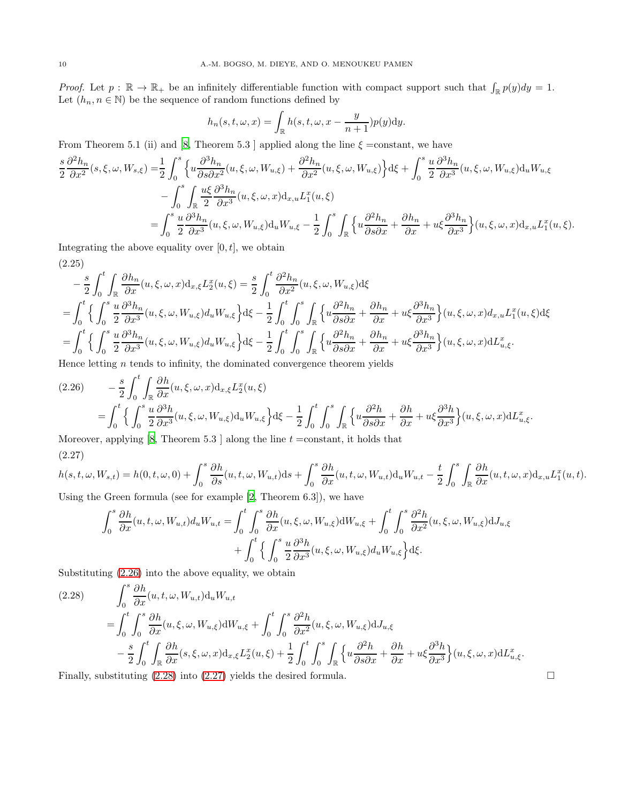Proof. Let  $p : \mathbb{R} \to \mathbb{R}_+$  be an infinitely differentiable function with compact support such that  $\int_{\mathbb{R}} p(y) dy = 1$ . Let  $(h_n, n \in \mathbb{N})$  be the sequence of random functions defined by

$$
h_n(s, t, \omega, x) = \int_{\mathbb{R}} h(s, t, \omega, x - \frac{y}{n+1}) p(y) dy.
$$

From Theorem 5.1 (ii) and [\[8,](#page-22-0) Theorem 5.3 ] applied along the line  $\xi = constant$ , we have

$$
\frac{s}{2} \frac{\partial^2 h_n}{\partial x^2}(s, \xi, \omega, W_{s, \xi}) = \frac{1}{2} \int_0^s \left\{ u \frac{\partial^3 h_n}{\partial s \partial x^2}(u, \xi, \omega, W_{u, \xi}) + \frac{\partial^2 h_n}{\partial x^2}(u, \xi, \omega, W_{u, \xi}) \right\} d\xi + \int_0^s \frac{u}{2} \frac{\partial^3 h_n}{\partial x^3}(u, \xi, \omega, W_{u, \xi}) d_u W_{u, \xi}
$$

$$
- \int_0^s \int_{\mathbb{R}} \frac{u\xi}{2} \frac{\partial^3 h_n}{\partial x^3}(u, \xi, \omega, x) d_{x, u} L_1^x(u, \xi)
$$

$$
= \int_0^s \frac{u}{2} \frac{\partial^3 h_n}{\partial x^3}(u, \xi, \omega, W_{u, \xi}) d_u W_{u, \xi} - \frac{1}{2} \int_0^s \int_{\mathbb{R}} \left\{ u \frac{\partial^2 h_n}{\partial s \partial x} + \frac{\partial h_n}{\partial x} + u\xi \frac{\partial^3 h_n}{\partial x^3} \right\}(u, \xi, \omega, x) d_{x, u} L_1^x(u, \xi).
$$

Integrating the above equality over  $[0, t]$ , we obtain

$$
(2.25)
$$

$$
-\frac{s}{2} \int_0^t \int_{\mathbb{R}} \frac{\partial h_n}{\partial x}(u, \xi, \omega, x) \, dx, \xi L_2^x(u, \xi) = \frac{s}{2} \int_0^t \frac{\partial^2 h_n}{\partial x^2}(u, \xi, \omega, W_{u, \xi}) \, d\xi
$$
\n
$$
= \int_0^t \left\{ \int_0^s \frac{u}{2} \frac{\partial^3 h_n}{\partial x^3}(u, \xi, \omega, W_{u, \xi}) \, du \, W_{u, \xi} \right\} \, d\xi - \frac{1}{2} \int_0^t \int_0^s \int_{\mathbb{R}} \left\{ u \frac{\partial^2 h_n}{\partial s \partial x} + \frac{\partial h_n}{\partial x} + u \xi \frac{\partial^3 h_n}{\partial x^3} \right\}(u, \xi, \omega, x) \, dx_{u, u} L_1^x(u, \xi) \, d\xi
$$
\n
$$
= \int_0^t \left\{ \int_0^s \frac{u}{2} \frac{\partial^3 h_n}{\partial x^3}(u, \xi, \omega, W_{u, \xi}) \, du \, W_{u, \xi} \right\} \, d\xi - \frac{1}{2} \int_0^t \int_0^s \int_{\mathbb{R}} \left\{ u \frac{\partial^2 h_n}{\partial s \partial x} + \frac{\partial h_n}{\partial x} + u \xi \frac{\partial^3 h_n}{\partial x^3} \right\}(u, \xi, \omega, x) \, dL_{u, \xi}^x.
$$

Hence letting  $n$  tends to infinity, the dominated convergence theorem yields

<span id="page-9-0"></span>
$$
(2.26) \qquad -\frac{s}{2} \int_0^t \int_{\mathbb{R}} \frac{\partial h}{\partial x}(u, \xi, \omega, x) \mathrm{d}_{x,\xi} L_2^x(u, \xi)
$$
\n
$$
= \int_0^t \left\{ \int_0^s \frac{u}{2} \frac{\partial^3 h}{\partial x^3}(u, \xi, \omega, W_{u, \xi}) \mathrm{d}_u W_{u, \xi} \right\} \mathrm{d}\xi - \frac{1}{2} \int_0^t \int_0^s \int_{\mathbb{R}} \left\{ u \frac{\partial^2 h}{\partial s \partial x} + \frac{\partial h}{\partial x} + u \xi \frac{\partial^3 h}{\partial x^3} \right\}(u, \xi, \omega, x) \mathrm{d}L_{u, \xi}^x.
$$

<span id="page-9-2"></span>Moreover, applying  $[8,$  Theorem 5.3 ] along the line  $t =$ constant, it holds that (2.27)

$$
h(s,t,\omega,W_{s,t}) = h(0,t,\omega,0) + \int_0^s \frac{\partial h}{\partial s}(u,t,\omega,W_{u,t})ds + \int_0^s \frac{\partial h}{\partial x}(u,t,\omega,W_{u,t})d_uW_{u,t} - \frac{t}{2} \int_0^s \int_{\mathbb{R}} \frac{\partial h}{\partial x}(u,t,\omega,x)d_{x,u}L_1^x(u,t).
$$

Using the Green formula (see for example [\[2,](#page-22-6) Theorem 6.3]), we have

$$
\int_0^s \frac{\partial h}{\partial x}(u, t, \omega, W_{u,t}) d_u W_{u,t} = \int_0^t \int_0^s \frac{\partial h}{\partial x}(u, \xi, \omega, W_{u,\xi}) dW_{u,\xi} + \int_0^t \int_0^s \frac{\partial^2 h}{\partial x^2}(u, \xi, \omega, W_{u,\xi}) dJ_{u,\xi}
$$

$$
+ \int_0^t \left\{ \int_0^s \frac{u}{2} \frac{\partial^3 h}{\partial x^3}(u, \xi, \omega, W_{u,\xi}) d_u W_{u,\xi} \right\} d\xi.
$$

Substituting [\(2.26\)](#page-9-0) into the above equality, we obtain

<span id="page-9-1"></span>
$$
(2.28) \qquad \int_0^s \frac{\partial h}{\partial x}(u, t, \omega, W_{u,t}) \mathrm{d}_u W_{u,t} \n= \int_0^t \int_0^s \frac{\partial h}{\partial x}(u, \xi, \omega, W_{u,\xi}) \mathrm{d}W_{u,\xi} + \int_0^t \int_0^s \frac{\partial^2 h}{\partial x^2}(u, \xi, \omega, W_{u,\xi}) \mathrm{d}J_{u,\xi} \n- \frac{s}{2} \int_0^t \int_{\mathbb{R}} \frac{\partial h}{\partial x}(s, \xi, \omega, x) \mathrm{d}_{x,\xi} L_2^x(u, \xi) + \frac{1}{2} \int_0^t \int_0^s \int_{\mathbb{R}} \left\{ u \frac{\partial^2 h}{\partial s \partial x} + \frac{\partial h}{\partial x} + u \xi \frac{\partial^3 h}{\partial x^3} \right\}(u, \xi, \omega, x) \mathrm{d}L_{u, \xi}^x.
$$

Finally, substituting  $(2.28)$  into  $(2.27)$  yields the desired formula.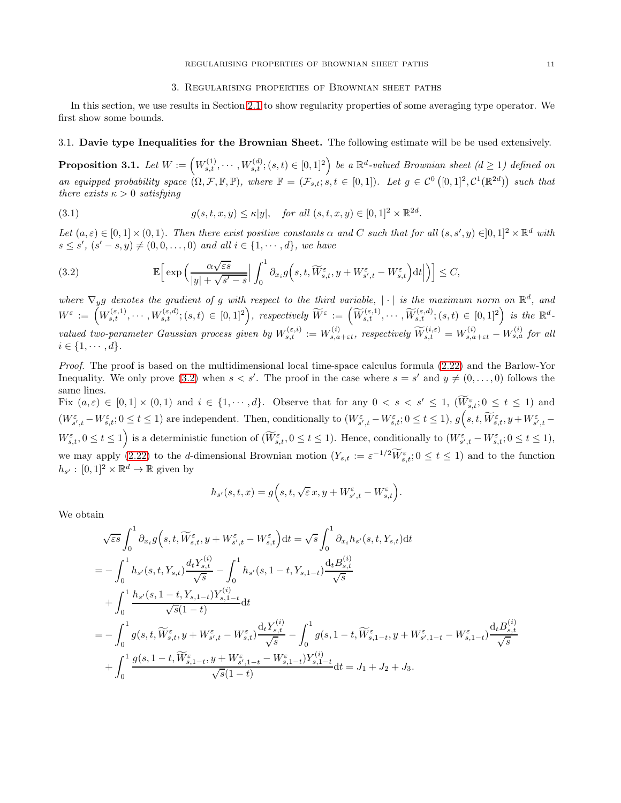### <span id="page-10-1"></span>3. Regularising properties of Brownian sheet paths

In this section, we use results in Section [2.1](#page-3-4) to show regularity properties of some averaging type operator. We first show some bounds.

## 3.1. Davie type Inequalities for the Brownian Sheet. The following estimate will be be used extensively.

<span id="page-10-2"></span>**Proposition 3.1.** Let  $W := (W_{s,t}^{(1)}, \dots, W_{s,t}^{(d)}; (s,t) \in [0,1]^2)$  be a  $\mathbb{R}^d$ -valued Brownian sheet  $(d \ge 1)$  defined on an equipped probability space  $(\Omega, \mathcal{F}, \mathbb{F}, \mathbb{P})$ , where  $\mathbb{F} = (\mathcal{F}_{s,t}; s,t \in [0,1])$ . Let  $g \in \mathcal{C}^0([0,1]^2, \mathcal{C}^1(\mathbb{R}^{2d}))$  such that there exists  $\kappa > 0$  satisfying

(3.1) 
$$
g(s, t, x, y) \le \kappa |y|, \text{ for all } (s, t, x, y) \in [0, 1]^2 \times \mathbb{R}^{2d}.
$$

Let  $(a, \varepsilon) \in [0, 1] \times (0, 1)$ . Then there exist positive constants  $\alpha$  and C such that for all  $(s, s', y) \in ]0, 1]^2 \times \mathbb{R}^d$  with  $s \leq s'$ ,  $(s' - s, y) \neq (0, 0, \ldots, 0)$  and all  $i \in \{1, \cdots, d\}$ , we have

<span id="page-10-0"></span>(3.2) 
$$
\mathbb{E}\Big[\exp\Big(\frac{\alpha\sqrt{\varepsilon s}}{|y|+\sqrt{s'-s}}\Big|\int_0^1\partial_{x_i}g\Big(s,t,\widetilde{W}_{s,t}^{\varepsilon},y+W_{s',t}^{\varepsilon}-W_{s,t}^{\varepsilon}\Big)\mathrm{d}t\Big|\Big)\Big]\leq C,
$$

where  $\nabla_y g$  denotes the gradient of g with respect to the third variable, | · | is the maximum norm on  $\mathbb{R}^d$ , and  $W^\varepsilon\,:=\, \left(W_{s,t}^{(\varepsilon,1)},\cdots,W_{s,t}^{(\varepsilon,d)}; (s,t)\,\in\,[0,1]^2\right),\,\, respectively\,\, \widetilde{W}^\varepsilon\,:=\,\left(\widetilde{W}_{s,t}^{(\varepsilon,1)},\cdots,\widetilde{W}_{s,t}^{(\varepsilon,d)}; (s,t)\,\in\,[0,1]^2\right)\,\,is\,\,the\,\,\mathbb{R}^d-1$ valued two-parameter Gaussian process given by  $W_{s,t}^{(\varepsilon,i)} := W_{s,a+\varepsilon t}^{(i)}$ , respectively  $\widetilde{W}_{s,t}^{(i,\varepsilon)} = W_{s,a+\varepsilon t}^{(i)} - W_{s,a}^{(i)}$  for all  $i \in \{1, \cdots, d\}.$ 

Proof. The proof is based on the multidimensional local time-space calculus formula [\(2.22\)](#page-7-3) and the Barlow-Yor Inequality. We only prove [\(3.2\)](#page-10-0) when  $s < s'$ . The proof in the case where  $s = s'$  and  $y \neq (0, \ldots, 0)$  follows the same lines.

Fix  $(a, \varepsilon) \in [0, 1] \times (0, 1)$  and  $i \in \{1, \dots, d\}$ . Observe that for any  $0 < s < s' \leq 1$ ,  $(W_{s,t}^{\varepsilon}; 0 \leq t \leq 1)$  and  $(W^{\varepsilon}_{s',t} - W^{\varepsilon}_{s,t}; 0 \le t \le 1)$  are independent. Then, conditionally to  $(W^{\varepsilon}_{s',t} - W^{\varepsilon}_{s,t}; 0 \le t \le 1)$ ,  $g(s, t, \widetilde{W}^{\varepsilon}_{s,t}, y + W^{\varepsilon}_{s',t} - W^{\varepsilon}_{s',t}; 0 \le t \le 1)$  $W_{s,t}^{\varepsilon}$ ,  $0 \le t \le 1$  is a deterministic function of  $(\widetilde{W}_{s,t}^{\varepsilon}, 0 \le t \le 1)$ . Hence, conditionally to  $(W_{s',t}^{\varepsilon} - W_{s,t}^{\varepsilon}; 0 \le t \le 1)$ , we may apply [\(2.22\)](#page-7-3) to the d-dimensional Brownian motion  $(Y_{s,t} := \varepsilon^{-1/2} W_{s,t}^{\varepsilon}; 0 \le t \le 1)$  and to the function  $h_{s'}: [0,1]^2 \times \mathbb{R}^d \to \mathbb{R}$  given by

$$
h_{s'}(s,t,x) = g(s,t,\sqrt{\varepsilon} x, y + W_{s',t}^{\varepsilon} - W_{s,t}^{\varepsilon}).
$$

We obtain

$$
\sqrt{\varepsilon s} \int_0^1 \partial_{x_i} g(s, t, \widetilde{W}_{s,t}^{\varepsilon}, y + W_{s',t}^{\varepsilon} - W_{s,t}^{\varepsilon}) dt = \sqrt{s} \int_0^1 \partial_{x_i} h_{s'}(s, t, Y_{s,t}) dt \n= - \int_0^1 h_{s'}(s, t, Y_{s,t}) \frac{d_t Y_{s,t}^{(i)}}{\sqrt{s}} - \int_0^1 h_{s'}(s, 1 - t, Y_{s,1-t}) \frac{d_t B_{s,t}^{(i)}}{\sqrt{s}} \n+ \int_0^1 \frac{h_{s'}(s, 1 - t, Y_{s,1-t}) Y_{s,1-t}^{(i)}}{\sqrt{s}(1 - t)} dt \n= - \int_0^1 g(s, t, \widetilde{W}_{s,t}^{\varepsilon}, y + W_{s',t}^{\varepsilon} - W_{s,t}^{\varepsilon}) \frac{d_t Y_{s,t}^{(i)}}{\sqrt{s}} - \int_0^1 g(s, 1 - t, \widetilde{W}_{s,1-t}^{\varepsilon}, y + W_{s',1-t}^{\varepsilon} - W_{s,1-t}^{\varepsilon}) \frac{d_t B_{s,t}^{(i)}}{\sqrt{s}} \n+ \int_0^1 \frac{g(s, 1 - t, \widetilde{W}_{s,1-t}^{\varepsilon}, y + W_{s',1-t}^{\varepsilon} - W_{s,1-t}^{\varepsilon}) Y_{s,1-t}^{(i)}}{\sqrt{s}(1 - t)} dt = J_1 + J_2 + J_3.
$$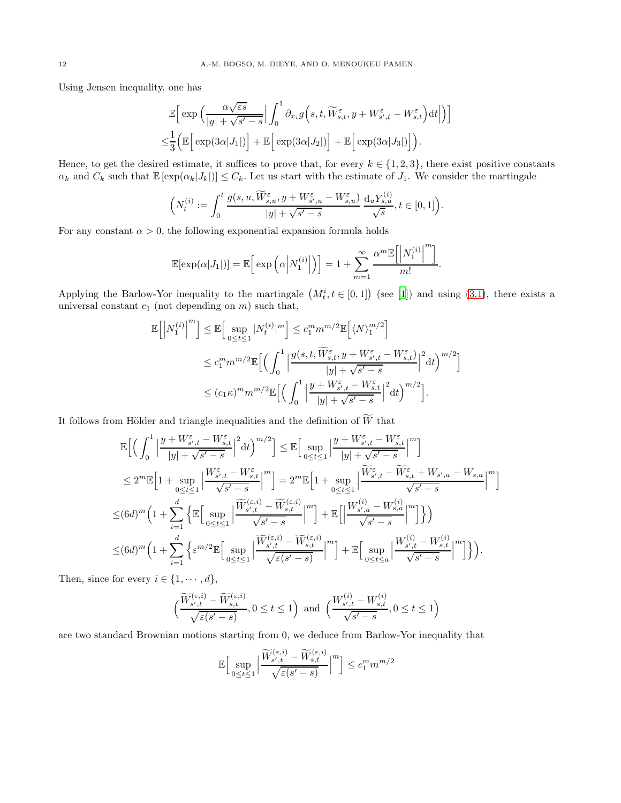Using Jensen inequality, one has

$$
\mathbb{E}\Big[\exp\Big(\frac{\alpha\sqrt{\varepsilon s}}{|y| + \sqrt{s' - s}}\Big|\int_0^1 \partial_{x_i} g\Big(s, t, \widetilde{W}_{s,t}^{\varepsilon}, y + W_{s',t}^{\varepsilon} - W_{s,t}^{\varepsilon}\Big)dt\Big|\Big)\Big]\newline\leq\n\frac{1}{3}\Big(\mathbb{E}\Big[\exp(3\alpha|J_1|)\Big] + \mathbb{E}\Big[\exp(3\alpha|J_2|)\Big] + \mathbb{E}\Big[\exp(3\alpha|J_3|)\Big]\Big).
$$

Hence, to get the desired estimate, it suffices to prove that, for every  $k \in \{1, 2, 3\}$ , there exist positive constants  $\alpha_k$  and  $C_k$  such that  $\mathbb{E}[\exp(\alpha_k|J_k|)] \leq C_k$ . Let us start with the estimate of  $J_1$ . We consider the martingale

$$
\left(N_t^{(i)} := \int_0^t \frac{g(s, u, \widetilde{W}_{s,u}^{\varepsilon}, y + W_{s',u}^{\varepsilon} - W_{s,u}^{\varepsilon})}{|y| + \sqrt{s' - s}} \frac{d_u Y_{s,u}^{(i)}}{\sqrt{s}}, t \in [0, 1]\right).
$$

For any constant  $\alpha > 0$ , the following exponential expansion formula holds

$$
\mathbb{E}[\exp(\alpha|J_1|)] = \mathbb{E}\Big[\exp\Big(\alpha\Big|N_1^{(i)}\Big|\Big)\Big] = 1 + \sum_{m=1}^{\infty} \frac{\alpha^m \mathbb{E}\Big[\Big|N_1^{(i)}\Big|^m\Big]}{m!}.
$$

Applying the Barlow-Yor inequality to the martingale  $(M_t^i, t \in [0, 1])$  (see [\[1](#page-22-13)]) and using [\(3.1\)](#page-10-1), there exists a universal constant  $c_1$  (not depending on  $m$ ) such that,

$$
\begin{split} \mathbb{E}\Big[\Big|N^{(i)}_1\Big|^m\Big] &\leq \mathbb{E}\Big[\sup_{0\leq t\leq 1}|N^{(i)}_t|^m\Big] \leq c_1^m m^{m/2}\mathbb{E}\Big[\langle N\rangle^{m/2}_1\Big] \\ &\leq c_1^m m^{m/2}\mathbb{E}\Big[\Big(\int_0^1 \Big|\frac{g(s,t,\widetilde{W}^\varepsilon_{s,t},y+W^\varepsilon_{s',t}-W^\varepsilon_{s,t})}{|y|+\sqrt{s'-s}}\Big|^2\,\mathrm{d} t\Big)^{m/2}\Big] \\ &\leq (c_1\kappa)^m m^{m/2}\mathbb{E}\Big[\Big(\int_0^1 \Big|\frac{y+W^\varepsilon_{s',t}-W^\varepsilon_{s,t}}{|y|+\sqrt{s'-s}}\Big|^2\,\mathrm{d} t\Big)^{m/2}\Big]. \end{split}
$$

It follows from Hölder and triangle inequalities and the definition of  $\widetilde{W}$  that

$$
\begin{split} &\mathbb{E}\Big[\Big(\int_{0}^{1}\Big|\frac{y+W^{\varepsilon}_{s',t}-W^{\varepsilon}_{s,t}}{|y|+\sqrt{s'-s}}\Big|^2\mathrm{d}t\Big)^{m/2}\Big]\leq \mathbb{E}\Big[\sup_{0\leq t\leq 1}\Big|\frac{y+W^{\varepsilon}_{s',t}-W^{\varepsilon}_{s,t}}{|y|+\sqrt{s'-s}}\Big|^m\Big]\\ &\leq 2^m\mathbb{E}\Big[1+\sup_{0\leq t\leq 1}\Big|\frac{W^{\varepsilon}_{s',t}-W^{\varepsilon}_{s,t}}{\sqrt{s'-s}}\Big|^m\Big]=2^m\mathbb{E}\Big[1+\sup_{0\leq t\leq 1}\Big|\frac{\widetilde{W}^{\varepsilon}_{s',t}-\widetilde{W}^{\varepsilon}_{s,t}+W_{s',a}-W_{s,a}}{\sqrt{s'-s}}\Big|^m\Big]\\ \leq & (6d)^m\Big(1+\sum_{i=1}^d\Big\{\mathbb{E}\Big[\sup_{0\leq t\leq 1}\Big|\frac{\widetilde{W}^{(\varepsilon,i)}_{s',t}-\widetilde{W}^{(\varepsilon,i)}_{s,t}}{\sqrt{s'-s}}\Big|^m\Big]+\mathbb{E}\Big[\Big|\frac{W^{(i)}_{s',a}-W^{(i)}_{s,a}}{\sqrt{s'-s}}\Big|^m\Big]\Big\}\\ \leq & (6d)^m\Big(1+\sum_{i=1}^d\Big\{\varepsilon^{m/2}\mathbb{E}\Big[\sup_{0\leq t\leq 1}\Big|\frac{\widetilde{W}^{(\varepsilon,i)}_{s',t}-\widetilde{W}^{(\varepsilon,i)}_{s,t}}{\sqrt{\varepsilon(s'-s)}}\Big|^m\Big]+\mathbb{E}\Big[\sup_{0\leq t\leq a}\Big|\frac{W^{(i)}_{s',t}-W^{(i)}_{s,t}}{\sqrt{s'-s}}\Big|^m\Big]\Big\}\Big). \end{split}
$$

Then, since for every  $i \in \{1, \dots, d\}$ ,

$$
\Big(\frac{\widetilde{W}^{(\varepsilon,i)}_{s',t}-\widetilde{W}^{(\varepsilon,i)}_{s,t}}{\sqrt{\varepsilon(s'-s)}},0\leq t\leq 1\Big)\;\text{ and }\;\Big(\frac{W^{(i)}_{s',t}-W^{(i)}_{s,t}}{\sqrt{s'-s}},0\leq t\leq 1\Big)
$$

are two standard Brownian motions starting from 0, we deduce from Barlow-Yor inequality that

$$
\mathbb{E}\Big[\sup_{0\leq t\leq 1}\Big|\frac{\widetilde{W}_{s',t}^{(\varepsilon,i)}-\widetilde{W}_{s,t}^{(\varepsilon,i)}}{\sqrt{\varepsilon(s'-s)}}\Big|^m\Big]\leq c_1^m m^{m/2}
$$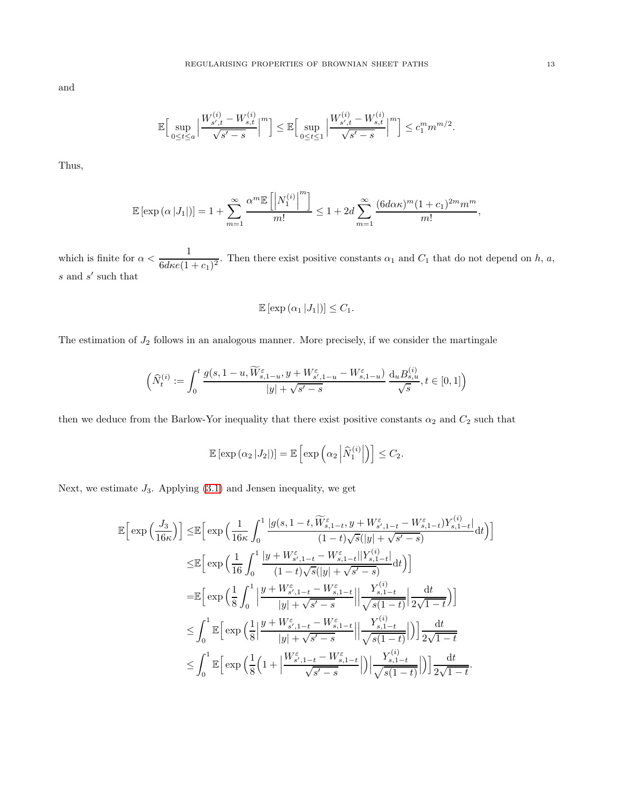and

$$
\mathbb{E}\Big[\sup_{0\leq t\leq a}\Big|\frac{W_{s',t}^{(i)}-W_{s,t}^{(i)}}{\sqrt{s'-s}}\Big|^m\Big]\leq \mathbb{E}\Big[\sup_{0\leq t\leq 1}\Big|\frac{W_{s',t}^{(i)}-W_{s,t}^{(i)}}{\sqrt{s'-s}}\Big|^m\Big]\leq c_1^m m^{m/2}.
$$

Thus,

$$
\mathbb{E}\left[\exp\left(\alpha\left|J_{1}\right|\right)\right] = 1 + \sum_{m=1}^{\infty} \frac{\alpha^{m} \mathbb{E}\left[\left|N_{1}^{(i)}\right|^{m}\right]}{m!} \leq 1 + 2d \sum_{m=1}^{\infty} \frac{(6d\alpha\kappa)^{m} (1+c_{1})^{2m} m^{m}}{m!},
$$

which is finite for  $\alpha < \frac{1}{c_1^2(1-\alpha)}$  $\frac{1}{6d\kappa\epsilon(1+c_1)^2}$ . Then there exist positive constants  $\alpha_1$  and  $C_1$  that do not depend on h, a,  $s$  and  $s'$  such that

$$
\mathbb{E}\left[\exp\left(\alpha_1\left|J_1\right|\right)\right]\leq C_1.
$$

The estimation of  $J_2$  follows in an analogous manner. More precisely, if we consider the martingale

$$
\Big(\widehat{N}^{(i)}_t:=\int_0^t \frac{g(s,1-u,\widetilde{W}^\varepsilon_{s,1-u},y+W^\varepsilon_{s',1-u}-W^\varepsilon_{s,1-u})}{|y|+\sqrt{s'-s}}\,\frac{\mathrm{d}_uB^{(i)}_{s,u}}{\sqrt{s}}, t\in [0,1]\Big)
$$

then we deduce from the Barlow-Yor inequality that there exist positive constants  $\alpha_2$  and  $C_2$  such that

$$
\mathbb{E}\left[\exp\left(\alpha_2\left|J_2\right|\right)\right] = \mathbb{E}\left[\exp\left(\alpha_2\left|\widehat{N}_1^{(i)}\right|\right)\right] \leq C_2.
$$

Next, we estimate  $J_3$ . Applying  $(3.1)$  and Jensen inequality, we get

$$
\mathbb{E}\Big[\exp\Big(\frac{J_3}{16\kappa}\Big)\Big]\leq \mathbb{E}\Big[\exp\Big(\frac{1}{16\kappa}\int_0^1\frac{|g(s,1-t,\widetilde{W}_{s,1-t}^{\varepsilon},y+W_{s',1-t}^{\varepsilon}-W_{s,1-t}^{\varepsilon})Y_{s,1-t}^{(i)}}{(1-t)\sqrt{s}(|y|+\sqrt{s'-s})}dt\Big)\Big]\n\leq \mathbb{E}\Big[\exp\Big(\frac{1}{16}\int_0^1\frac{|y+W_{s',1-t}^{\varepsilon}-W_{s,1-t}^{\varepsilon}||Y_{s,1-t}^{(i)}}{(1-t)\sqrt{s}(|y|+\sqrt{s'-s})}dt\Big)\Big]\n= \mathbb{E}\Big[\exp\Big(\frac{1}{8}\int_0^1\Big|\frac{y+W_{s',1-t}^{\varepsilon}-W_{s,1-t}^{\varepsilon}||Y_{s,1-t}^{(i)}}{|y|+\sqrt{s'-s}}\Big|\Big|\frac{Y_{s,1-t}^{(i)}}{\sqrt{s(1-t)}}\Big|\frac{dt}{2\sqrt{1-t}}\Big)\Big]\n\leq \int_0^1\mathbb{E}\Big[\exp\Big(\frac{1}{8}\Big|\frac{y+W_{s',1-t}^{\varepsilon}-W_{s,1-t}^{\varepsilon}}{|y|+\sqrt{s'-s}}\Big|\Big|\frac{Y_{s,1-t}^{(i)}}{\sqrt{s(1-t)}}\Big|\Big)\Big]\frac{dt}{2\sqrt{1-t}}\n\leq \int_0^1\mathbb{E}\Big[\exp\Big(\frac{1}{8}\Big(1+\Big|\frac{W_{s',1-t}^{\varepsilon}-W_{s,1-t}^{\varepsilon}}{\sqrt{s'-s}}\Big|\Big)\Big|\frac{Y_{s,1-t}^{(i)}}{\sqrt{s(1-t)}}\Big|\Big)\Big]\frac{dt}{2\sqrt{1-t}}.
$$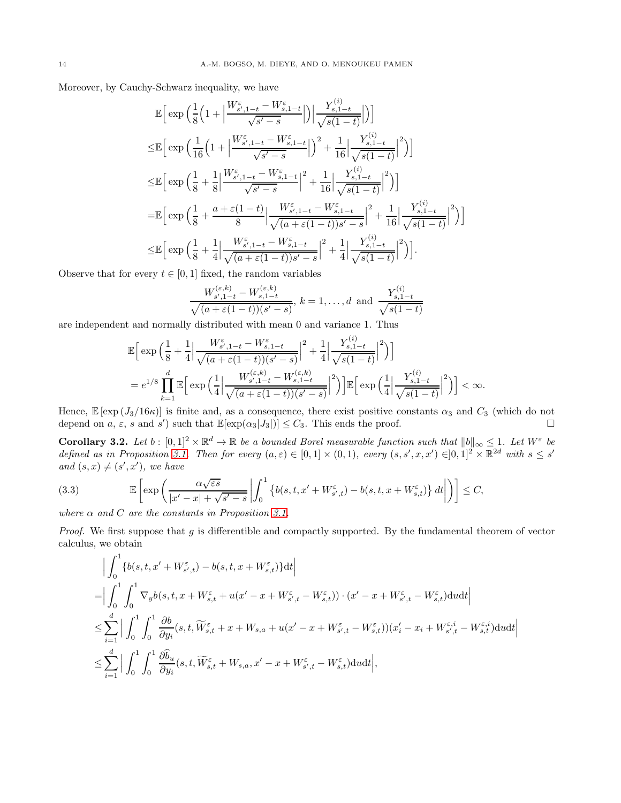Moreover, by Cauchy-Schwarz inequality, we have

$$
\mathbb{E}\Big[\exp\Big(\frac{1}{8}\Big(1+\Big|\frac{W_{s',1-t}^{\varepsilon}-W_{s,1-t}^{\varepsilon}}{\sqrt{s'-s}}\Big|\Big)\Big|\frac{Y_{s,1-t}^{(i)}}{\sqrt{s(1-t)}}\Big|\Big)\Big]
$$
\n
$$
\leq \mathbb{E}\Big[\exp\Big(\frac{1}{16}\Big(1+\Big|\frac{W_{s',1-t}^{\varepsilon}-W_{s,1-t}^{\varepsilon}}{\sqrt{s'-s}}\Big|\Big)^2+\frac{1}{16}\Big|\frac{Y_{s,1-t}^{(i)}}{\sqrt{s(1-t)}}\Big|^2\Big)\Big]
$$
\n
$$
\leq \mathbb{E}\Big[\exp\Big(\frac{1}{8}+\frac{1}{8}\Big|\frac{W_{s',1-t}^{\varepsilon}-W_{s,1-t}^{\varepsilon}}{\sqrt{s'-s}}\Big|^2+\frac{1}{16}\Big|\frac{Y_{s,1-t}^{(i)}}{\sqrt{s(1-t)}}\Big|^2\Big)\Big]
$$
\n
$$
=\mathbb{E}\Big[\exp\Big(\frac{1}{8}+\frac{a+\varepsilon(1-t)}{8}\Big|\frac{W_{s',1-t}^{\varepsilon}-W_{s,1-t}^{\varepsilon}}{\sqrt{(a+\varepsilon(1-t))s'-s}}\Big|^2+\frac{1}{16}\Big|\frac{Y_{s,1-t}^{(i)}}{\sqrt{s(1-t)}}\Big|^2\Big)\Big]
$$
\n
$$
\leq \mathbb{E}\Big[\exp\Big(\frac{1}{8}+\frac{1}{4}\Big|\frac{W_{s',1-t}^{\varepsilon}-W_{s,1-t}^{\varepsilon}}{\sqrt{(a+\varepsilon(1-t))s'-s}}\Big|^2+\frac{1}{4}\Big|\frac{Y_{s,1-t}^{(i)}}{\sqrt{s(1-t)}}\Big|^2\Big)\Big].
$$

Observe that for every  $t \in [0, 1]$  fixed, the random variables

$$
\frac{W_{s',1-t}^{(\varepsilon,k)} - W_{s,1-t}^{(\varepsilon,k)}}{\sqrt{(a+\varepsilon(1-t))(s'-s)}}, k = 1, ..., d \text{ and } \frac{Y_{s,1-t}^{(i)}}{\sqrt{s(1-t)}}
$$

 $\sim$ 

are independent and normally distributed with mean 0 and variance 1. Thus

$$
\mathbb{E}\Big[\exp\Big(\frac{1}{8}+\frac{1}{4}\Big|\frac{W_{s',1-t}^{\varepsilon}-W_{s,1-t}^{\varepsilon}}{\sqrt{(a+\varepsilon(1-t))(s'-s)}}\Big|^2+\frac{1}{4}\Big|\frac{Y_{s,1-t}^{(i)}}{\sqrt{s(1-t)}}\Big|^2\Big)\Big]
$$
  
=  $e^{1/8}\prod_{k=1}^d\mathbb{E}\Big[\exp\Big(\frac{1}{4}\Big|\frac{W_{s',1-t}^{(\varepsilon,k)}-W_{s,1-t}^{(\varepsilon,k)}}{\sqrt{(a+\varepsilon(1-t))(s'-s)}}\Big|^2\Big)\Big]\mathbb{E}\Big[\exp\Big(\frac{1}{4}\Big|\frac{Y_{s,1-t}^{(i)}}{\sqrt{s(1-t)}}\Big|^2\Big)\Big]<\infty.$ 

Hence,  $\mathbb{E}[\exp(\frac{J_3}{16\kappa})]$  is finite and, as a consequence, there exist positive constants  $\alpha_3$  and  $C_3$  (which do not depend on  $a, \varepsilon$ , s and  $s'$ ) such that  $\mathbb{E}[\exp(\alpha_3|J_3|)] \leq C_3$ . This ends the proof.

**Corollary 3.2.** Let  $b : [0,1]^2 \times \mathbb{R}^d \to \mathbb{R}$  be a bounded Borel measurable function such that  $||b||_{\infty} \leq 1$ . Let  $W^{\varepsilon}$  be defined as in Proposition [3.1.](#page-10-2) Then for every  $(a, \varepsilon) \in [0, 1] \times (0, 1)$ , every  $(s, s', x, x') \in ]0, 1]^2 \times \mathbb{R}^{2d}$  with  $s \leq s'$ and  $(s, x) \neq (s', x')$ , we have

<span id="page-13-0"></span>(3.3) 
$$
\mathbb{E}\left[\exp\left(\frac{\alpha\sqrt{\varepsilon s}}{|x'-x|+\sqrt{s'-s}}\left|\int_0^1 \left\{b(s,t,x'+W_{s',t}^{\varepsilon})-b(s,t,x+W_{s,t}^{\varepsilon})\right\}dt\right|\right)\right]\leq C,
$$

where  $\alpha$  and  $C$  are the constants in Proposition [3.1.](#page-10-2)

Proof. We first suppose that g is differentible and compactly supported. By the fundamental theorem of vector calculus, we obtain

$$
\begin{split} &\Big|\int_0^1 \{b(s,t,x'+W_{s',t}^\varepsilon)-b(s,t,x+W_{s,t}^\varepsilon)\}\mathrm{d} t\Big|\\ =&\Big|\int_0^1\int_0^1 \nabla_y b\big(s,t,x+W_{s,t}^\varepsilon+u(x'-x+W_{s',t}^\varepsilon-W_{s,t}^\varepsilon)\big)\cdot(x'-x+W_{s',t}^\varepsilon-W_{s,t}^\varepsilon)\mathrm{d} u\mathrm{d} t\Big|\\ \leq &\sum_{i=1}^d\Big|\int_0^1\int_0^1\frac{\partial b}{\partial y_i}\big(s,t,\widetilde{W}_{s,t}^\varepsilon+x+W_{s,a}+u(x'-x+W_{s',t}^\varepsilon-W_{s,t}^\varepsilon)\big)\big(x_i'-x_i+W_{s',t}^{\varepsilon,i}-W_{s,t}^{\varepsilon,i}\big)\mathrm{d} u\mathrm{d} t\Big|\\ \leq &\sum_{i=1}^d\Big|\int_0^1\int_0^1\frac{\partial \widehat{b}_u}{\partial y_i}\big(s,t,\widetilde{W}_{s,t}^\varepsilon+W_{s,a},x'-x+W_{s',t}^\varepsilon-W_{s,t}^\varepsilon\big)\mathrm{d} u\mathrm{d} t\Big|, \end{split}
$$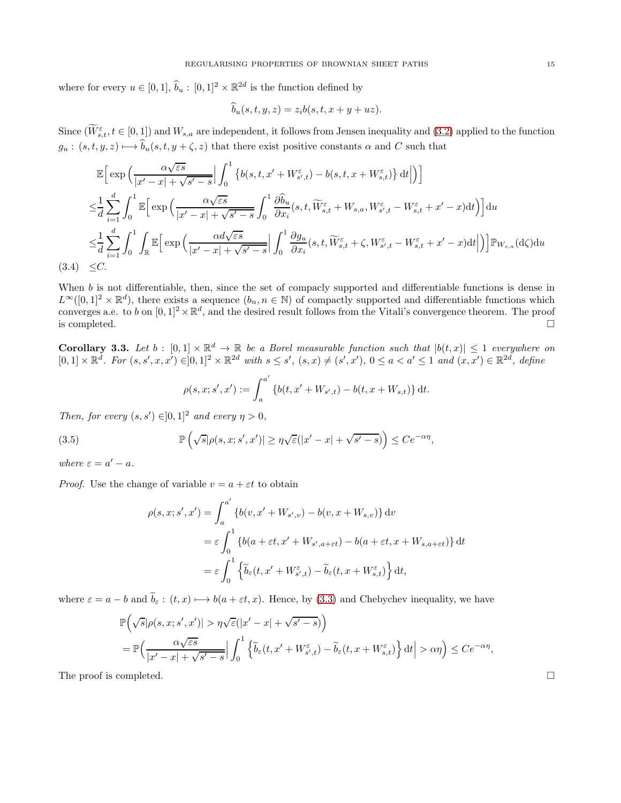where for every  $u \in [0, 1], \hat{b}_u : [0, 1]^2 \times \mathbb{R}^{2d}$  is the function defined by

$$
b_u(s, t, y, z) = z_i b(s, t, x + y + uz).
$$

Since  $(\widetilde{W}_{s,t}^{\varepsilon}, t \in [0,1])$  and  $W_{s,a}$  are independent, it follows from Jensen inequality and  $(3.2)$  applied to the function  $g_u : (s, t, y, z) \mapsto \widehat{b}_u(s, t, y + \zeta, z)$  that there exist positive constants  $\alpha$  and C such that

$$
\mathbb{E}\Big[\exp\Big(\frac{\alpha\sqrt{\varepsilon s}}{|x'-x|+\sqrt{s'-s}}\Big|\int_0^1 \left\{b(s,t,x'+W_{s',t}^{\varepsilon})-b(s,t,x+W_{s,t}^{\varepsilon})\right\}\mathrm{d}t\Big|\Big)\Big]
$$
\n
$$
\leq \frac{1}{d} \sum_{i=1}^d \int_0^1 \mathbb{E}\Big[\exp\Big(\frac{\alpha\sqrt{\varepsilon s}}{|x'-x|+\sqrt{s'-s}}\int_0^1 \frac{\partial \widehat{b}_u}{\partial x_i}(s,t,\widetilde{W}_{s,t}^{\varepsilon}+W_{s,a},W_{s',t}^{\varepsilon}-W_{s,t}^{\varepsilon}+x'-x)\mathrm{d}t\Big)\Big]\mathrm{d}u
$$
\n
$$
\leq \frac{1}{d} \sum_{i=1}^d \int_0^1 \int_{\mathbb{R}} \mathbb{E}\Big[\exp\Big(\frac{\alpha d\sqrt{\varepsilon s}}{|x'-x|+\sqrt{s'-s}}\Big|\int_0^1 \frac{\partial g_u}{\partial x_i}(s,t,\widetilde{W}_{s,t}^{\varepsilon}+\zeta,W_{s',t}^{\varepsilon}-W_{s,t}^{\varepsilon}+x'-x)\mathrm{d}t\Big|\Big)\Big]\mathbb{P}_{W_{s,a}}(\mathrm{d}\zeta)\mathrm{d}u
$$
\n
$$
(3.4) \leq C.
$$

When  $b$  is not differentiable, then, since the set of compacly supported and differentiable functions is dense in  $L^{\infty}([0,1]^2 \times \mathbb{R}^d)$ , there exists a sequence  $(b_n, n \in \mathbb{N})$  of compactly supported and differentiable functions which converges a.e. to b on  $[0,1]^2 \times \mathbb{R}^d$ , and the desired result follows from the Vitali's convergence theorem. The proof is completed.  $\Box$ 

<span id="page-14-0"></span>**Corollary 3.3.** Let  $b : [0,1] \times \mathbb{R}^d \to \mathbb{R}$  be a Borel measurable function such that  $|b(t,x)| \leq 1$  everywhere on  $[0,1] \times \mathbb{R}^d$ . For  $(s, s', x, x') \in ]0,1]^2 \times \mathbb{R}^{2d}$  with  $s \le s'$ ,  $(s, x) \ne (s', x')$ ,  $0 \le a < a' \le 1$  and  $(x, x') \in \mathbb{R}^{2d}$ , define

$$
\rho(s, x; s', x') := \int_{a}^{a'} \{b(t, x' + W_{s',t}) - b(t, x + W_{s,t})\} dt.
$$

Then, for every  $(s, s') \in ]0,1]^2$  and every  $\eta > 0$ ,

<span id="page-14-1"></span>(3.5) 
$$
\mathbb{P}\left(\sqrt{s}|\rho(s,x;s',x')|\geq \eta\sqrt{\varepsilon}(|x'-x|+\sqrt{s'-s})\right)\leq Ce^{-\alpha\eta},
$$

where  $\varepsilon = a' - a$ .

*Proof.* Use the change of variable  $v = a + \varepsilon t$  to obtain

$$
\rho(s, x; s', x') = \int_{a}^{a'} \{b(v, x' + W_{s',v}) - b(v, x + W_{s,v})\} dv
$$
  

$$
= \varepsilon \int_{0}^{1} \{b(a + \varepsilon t, x' + W_{s',a + \varepsilon t}) - b(a + \varepsilon t, x + W_{s,a + \varepsilon t})\} dt
$$
  

$$
= \varepsilon \int_{0}^{1} \{\widetilde{b}_{\varepsilon}(t, x' + W_{s',t}^{\varepsilon}) - \widetilde{b}_{\varepsilon}(t, x + W_{s,t}^{\varepsilon})\} dt,
$$

where  $\varepsilon = a - b$  and  $\widetilde{b}_{\varepsilon} : (t, x) \longmapsto b(a + \varepsilon t, x)$ . Hence, by [\(3.3\)](#page-13-0) and Chebychev inequality, we have

$$
\mathbb{P}\left(\sqrt{s}|\rho(s,x;s',x')| > \eta\sqrt{\varepsilon}(|x'-x|+\sqrt{s'-s})\right)
$$
\n
$$
= \mathbb{P}\left(\frac{\alpha\sqrt{\varepsilon s}}{|x'-x|+\sqrt{s'-s}}\Big|\int_0^1 \left\{\widetilde{b}_{\varepsilon}(t,x'+W_{s',t}^{\varepsilon})-\widetilde{b}_{\varepsilon}(t,x+W_{s,t}^{\varepsilon})\right\}\mathrm{d}t\Big| > \alpha\eta\right) \le Ce^{-\alpha\eta},
$$

The proof is completed.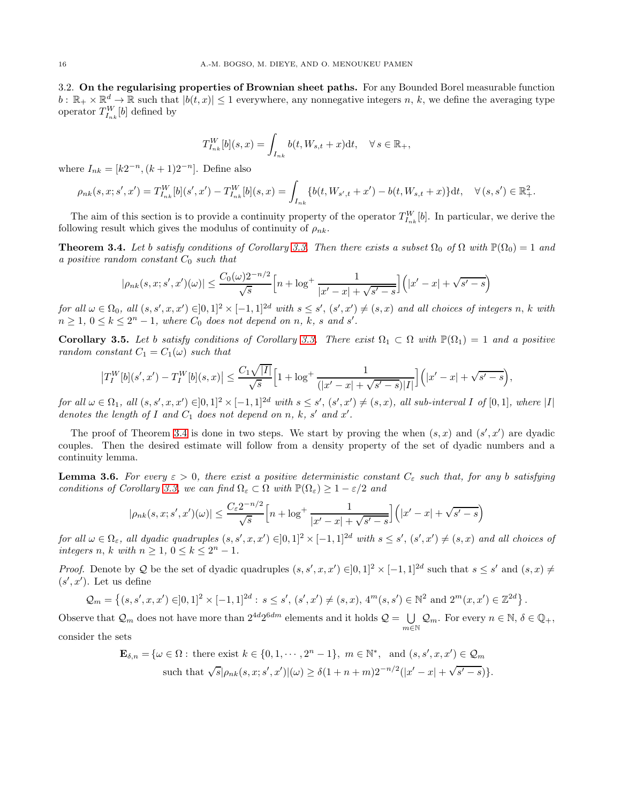3.2. On the regularising properties of Brownian sheet paths. For any Bounded Borel measurable function  $b: \mathbb{R}_+ \times \mathbb{R}^d \to \mathbb{R}$  such that  $|b(t,x)| \leq 1$  everywhere, any nonnegative integers n, k, we define the averaging type operator  $T_{I_{nk}}^W[b]$  defined by

$$
T_{I_{nk}}^W[b](s,x) = \int_{I_{nk}} b(t, W_{s,t} + x) dt, \quad \forall s \in \mathbb{R}_+,
$$

where  $I_{nk} = [k2^{-n}, (k+1)2^{-n}]$ . Define also

$$
\rho_{nk}(s,x;s',x') = T_{I_{nk}}^W[b](s',x') - T_{I_{nk}}^W[b](s,x) = \int_{I_{nk}} \{b(t,W_{s',t} + x') - b(t,W_{s,t} + x)\} dt, \quad \forall (s,s') \in \mathbb{R}_+^2.
$$

The aim of this section is to provide a continuity property of the operator  $T_{I_{nk}}^W[b]$ . In particular, we derive the following result which gives the modulus of continuity of  $\rho_{nk}$ .

<span id="page-15-0"></span>**Theorem 3.4.** Let b satisfy conditions of Corollary [3.3.](#page-14-0) Then there exists a subset  $\Omega_0$  of  $\Omega$  with  $\mathbb{P}(\Omega_0) = 1$  and a positive random constant  $C_0$  such that

$$
|\rho_{nk}(s,x;s',x')(\omega)| \le \frac{C_0(\omega)2^{-n/2}}{\sqrt{s}} \Big[n + \log^+ \frac{1}{|x'-x| + \sqrt{s'-s}}\Big] \Big(|x'-x| + \sqrt{s'-s}\Big)
$$

for all  $\omega \in \Omega_0$ , all  $(s, s', x, x') \in ]0,1]^2 \times [-1,1]^{2d}$  with  $s \le s'$ ,  $(s', x') \ne (s, x)$  and all choices of integers n, k with  $n \geq 1, 0 \leq k \leq 2<sup>n</sup> - 1$ , where  $C_0$  does not depend on n, k, s and s'.

<span id="page-15-1"></span>Corollary 3.5. Let b satisfy conditions of Corollary [3.3.](#page-14-0) There exist  $\Omega_1 \subset \Omega$  with  $\mathbb{P}(\Omega_1) = 1$  and a positive random constant  $C_1 = C_1(\omega)$  such that

$$
\left|T_I^W[b](s',x') - T_I^W[b](s,x)\right| \le \frac{C_1\sqrt{|I|}}{\sqrt{s}} \left[1 + \log^+\frac{1}{(|x'-x| + \sqrt{s'-s})|I|}\right] (|x'-x| + \sqrt{s'-s}),
$$

for all  $\omega \in \Omega_1$ , all  $(s, s', x, x') \in ]0,1]^2 \times [-1,1]^{2d}$  with  $s \leq s'$ ,  $(s', x') \neq (s, x)$ , all sub-interval I of  $[0,1]$ , where  $|I|$ denotes the length of  $I$  and  $C_1$  does not depend on n, k, s' and x'.

The proof of Theorem [3.4](#page-15-0) is done in two steps. We start by proving the when  $(s, x)$  and  $(s', x')$  are dyadic couples. Then the desired estimate will follow from a density property of the set of dyadic numbers and a continuity lemma.

<span id="page-15-2"></span>**Lemma 3.6.** For every  $\varepsilon > 0$ , there exist a positive deterministic constant  $C_{\varepsilon}$  such that, for any b satisfying conditions of Corollary [3.3,](#page-14-0) we can find  $\Omega_{\varepsilon} \subset \Omega$  with  $\mathbb{P}(\Omega_{\varepsilon}) \geq 1 - \varepsilon/2$  and

$$
|\rho_{nk}(s,x;s',x')(\omega)| \le \frac{C_{\varepsilon}2^{-n/2}}{\sqrt{s}} \Big[n + \log^+\frac{1}{|x'-x| + \sqrt{s'-s}}\Big] \Big(|x'-x| + \sqrt{s'-s}\Big)
$$

for all  $\omega \in \Omega_{\varepsilon}$ , all dyadic quadruples  $(s, s', x, x') \in ]0,1]^2 \times [-1,1]^{2d}$  with  $s \leq s'$ ,  $(s', x') \neq (s, x)$  and all choices of integers n, k with  $n \geq 1$ ,  $0 \leq k \leq 2^n - 1$ .

Proof. Denote by Q be the set of dyadic quadruples  $(s, s', x, x') \in ]0,1]^2 \times [-1,1]^{2d}$  such that  $s \le s'$  and  $(s, x) \ne$  $(s', x')$ . Let us define

$$
\mathcal{Q}_m = \left\{ (s, s', x, x') \in ]0, 1]^2 \times [-1, 1]^{2d} : s \le s', (s', x') \ne (s, x), 4^m(s, s') \in \mathbb{N}^2 \text{ and } 2^m(x, x') \in \mathbb{Z}^{2d} \right\}.
$$

Observe that  $\mathcal{Q}_m$  does not have more than  $2^{4d}2^{6dm}$  elements and it holds  $\mathcal{Q} = \bigcup_{m=1}^{\infty}$  $\bigcup_{m\in\mathbb{N}}\mathcal{Q}_m$ . For every  $n\in\mathbb{N}, \delta\in\mathbb{Q}_+,$ 

consider the sets

$$
\mathbf{E}_{\delta,n} = \{ \omega \in \Omega : \text{ there exist } k \in \{0, 1, \cdots, 2^n - 1\}, \ m \in \mathbb{N}^*, \text{ and } (s, s', x, x') \in \mathcal{Q}_m \text{ such that } \sqrt{s} |\rho_{nk}(s, x; s', x')|(\omega) \ge \delta(1 + n + m) 2^{-n/2} (|x' - x| + \sqrt{s' - s}) \}.
$$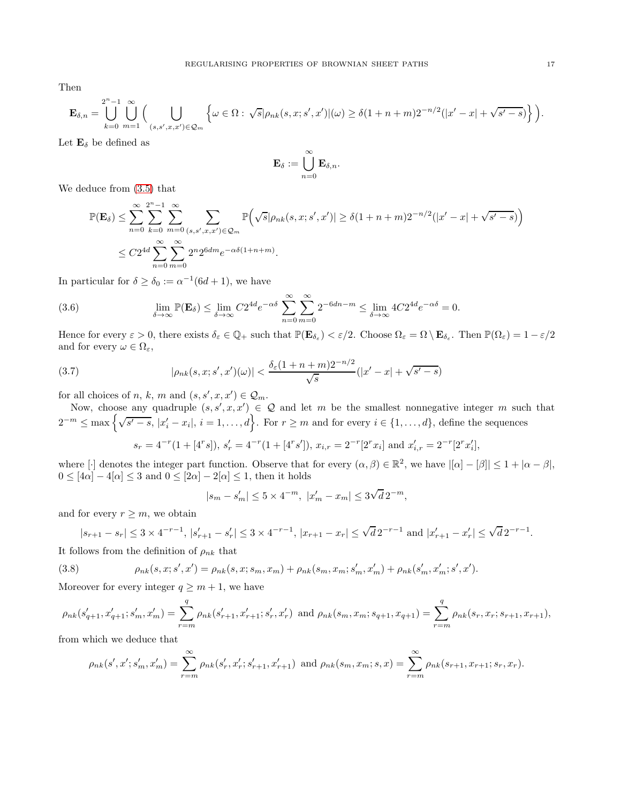Then

$$
\mathbf{E}_{\delta,n} = \bigcup_{k=0}^{2^n-1} \bigcup_{m=1}^{\infty} \Big( \bigcup_{(s,s',x,x') \in \mathcal{Q}_m} \Big\{ \omega \in \Omega : \sqrt{s} |\rho_{nk}(s,x;s',x')|(\omega) \geq \delta(1+n+m)2^{-n/2}(|x'-x|+\sqrt{s'-s}) \Big\} \Big).
$$

Let  $\mathbf{E}_{\delta}$  be defined as

$$
\mathbf{E}_\delta := \bigcup_{n=0}^\infty \mathbf{E}_{\delta,n}.
$$

We deduce from [\(3.5\)](#page-14-1) that

$$
\mathbb{P}(\mathbf{E}_{\delta}) \leq \sum_{n=0}^{\infty} \sum_{k=0}^{2^{n}-1} \sum_{m=0}^{\infty} \sum_{(s,s',x,x') \in \mathcal{Q}_{m}} \mathbb{P}\Big(\sqrt{s}|\rho_{nk}(s,x;s',x')| \geq \delta(1+n+m)2^{-n/2}(|x'-x|+\sqrt{s'-s})\Big)
$$
  

$$
\leq C2^{4d} \sum_{n=0}^{\infty} \sum_{m=0}^{\infty} 2^{n} 2^{6dm} e^{-\alpha \delta(1+n+m)}.
$$

In particular for  $\delta \geq \delta_0 := \alpha^{-1}(6d+1)$ , we have

(3.6) 
$$
\lim_{\delta \to \infty} \mathbb{P}(\mathbf{E}_{\delta}) \leq \lim_{\delta \to \infty} C 2^{4d} e^{-\alpha \delta} \sum_{n=0}^{\infty} \sum_{m=0}^{\infty} 2^{-6dn-m} \leq \lim_{\delta \to \infty} 4C 2^{4d} e^{-\alpha \delta} = 0.
$$

Hence for every  $\varepsilon > 0$ , there exists  $\delta_{\varepsilon} \in \mathbb{Q}_+$  such that  $\mathbb{P}(\mathbf{E}_{\delta_{\varepsilon}}) < \varepsilon/2$ . Choose  $\Omega_{\varepsilon} = \Omega \setminus \mathbf{E}_{\delta_{\varepsilon}}$ . Then  $\mathbb{P}(\Omega_{\varepsilon}) = 1 - \varepsilon/2$ and for every  $\omega \in \Omega_{\varepsilon}$ ,

<span id="page-16-1"></span>(3.7) 
$$
|\rho_{nk}(s,x;s',x')(\omega)| < \frac{\delta_{\varepsilon}(1+n+m)2^{-n/2}}{\sqrt{s}}(|x'-x|+\sqrt{s'-s})
$$

for all choices of n, k, m and  $(s, s', x, x') \in \mathcal{Q}_m$ .

Now, choose any quadruple  $(s, s', x, x') \in \mathcal{Q}$  and let m be the smallest nonnegative integer m such that  $2^{-m} \leq \max\left\{\sqrt{s'-s}, |x'_i - x_i|, i = 1,\ldots,d\right\}.$  For  $r \geq m$  and for every  $i \in \{1,\ldots,d\}$ , define the sequences

$$
s_r = 4^{-r}(1 + [4^r s]), s'_r = 4^{-r}(1 + [4^r s']), x_{i,r} = 2^{-r}[2^r x_i]
$$
 and  $x'_{i,r} = 2^{-r}[2^r x'_i],$ 

where [·] denotes the integer part function. Observe that for every  $(\alpha, \beta) \in \mathbb{R}^2$ , we have  $|[\alpha] - [\beta]| \leq 1 + |\alpha - \beta|$ ,  $0\leq [4\alpha]-4[\alpha]\leq 3$  and  $0\leq [2\alpha]-2[\alpha]\leq 1,$  then it holds

$$
|s_m - s'_m| \le 5 \times 4^{-m}, \ |x'_m - x_m| \le 3\sqrt{d} \, 2^{-m},
$$

and for every  $r \geq m$ , we obtain

$$
|s_{r+1} - s_r| \le 3 \times 4^{-r-1}, |s'_{r+1} - s'_r| \le 3 \times 4^{-r-1}, |x_{r+1} - x_r| \le \sqrt{d} 2^{-r-1} \text{ and } |x'_{r+1} - x'_r| \le \sqrt{d} 2^{-r-1}.
$$

It follows from the definition of  $\rho_{nk}$  that

<span id="page-16-0"></span>(3.8) 
$$
\rho_{nk}(s,x;s',x') = \rho_{nk}(s,x;s_m,x_m) + \rho_{nk}(s_m,x_m;s'_m,x'_m) + \rho_{nk}(s'_m,x'_m;s',x').
$$

Moreover for every integer  $q \geq m+1$ , we have

$$
\rho_{nk}(s'_{q+1}, x'_{q+1}; s'_m, x'_m) = \sum_{r=m}^{q} \rho_{nk}(s'_{r+1}, x'_{r+1}; s'_r, x'_r) \text{ and } \rho_{nk}(s_m, x_m; s_{q+1}, x_{q+1}) = \sum_{r=m}^{q} \rho_{nk}(s_r, x_r; s_{r+1}, x_{r+1}),
$$

from which we deduce that

$$
\rho_{nk}(s', x'; s'_m, x'_m) = \sum_{r=m}^{\infty} \rho_{nk}(s'_r, x'_r; s'_{r+1}, x'_{r+1}) \text{ and } \rho_{nk}(s_m, x_m; s, x) = \sum_{r=m}^{\infty} \rho_{nk}(s_{r+1}, x_{r+1}; s_r, x_r).
$$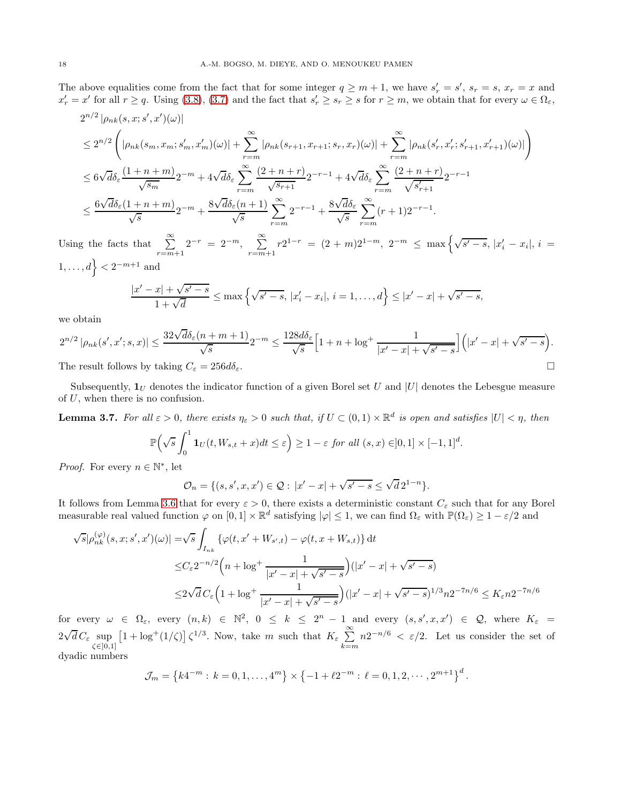The above equalities come from the fact that for some integer  $q \geq m+1$ , we have  $s'_r = s'$ ,  $s_r = s$ ,  $x_r = x$  and  $x'_r = x'$  for all  $r \ge q$ . Using [\(3.8\)](#page-16-0), [\(3.7\)](#page-16-1) and the fact that  $s'_r \ge s_r \ge s$  for  $r \ge m$ , we obtain that for every  $\omega \in \Omega_{\varepsilon}$ ,

$$
2^{n/2} |\rho_{nk}(s,x;s',x')(\omega)|
$$
  
\n
$$
\leq 2^{n/2} \left( |\rho_{nk}(s_m,x_m;s'_m,x'_m)(\omega)| + \sum_{r=m}^{\infty} |\rho_{nk}(s_{r+1},x_{r+1};s_r,x_r)(\omega)| + \sum_{r=m}^{\infty} |\rho_{nk}(s'_r,x'_r;s'_{r+1},x'_{r+1})(\omega)| \right)
$$
  
\n
$$
\leq 6\sqrt{d}\delta_{\varepsilon} \frac{(1+n+m)}{\sqrt{s_m}} 2^{-m} + 4\sqrt{d}\delta_{\varepsilon} \sum_{r=m}^{\infty} \frac{(2+n+r)}{\sqrt{s_{r+1}}} 2^{-r-1} + 4\sqrt{d}\delta_{\varepsilon} \sum_{r=m}^{\infty} \frac{(2+n+r)}{\sqrt{s'_{r+1}}} 2^{-r-1}
$$
  
\n
$$
\leq \frac{6\sqrt{d}\delta_{\varepsilon}(1+n+m)}{\sqrt{s}} 2^{-m} + \frac{8\sqrt{d}\delta_{\varepsilon}(n+1)}{\sqrt{s}} \sum_{r=m}^{\infty} 2^{-r-1} + \frac{8\sqrt{d}\delta_{\varepsilon}}{\sqrt{s}} \sum_{r=m}^{\infty} (r+1) 2^{-r-1}.
$$

Using the facts that  $\sum_{r=m+1}^{\infty} 2^{-r} = 2^{-m}$ ,  $\sum_{r=m}^{\infty}$  $\sum_{r=m+1}^{\infty} r2^{1-r} = (2+m)2^{1-m}, 2^{-m} \le \max\left\{\sqrt{s'-s}, |x'_i - x_i|, i = \right\}$  $1, \ldots, d$  <  $2^{-m+1}$  and

$$
\frac{|x'-x| + \sqrt{s'-s}}{1+\sqrt{d}} \le \max\left\{\sqrt{s'-s}, |x'_i - x_i|, i = 1,\ldots,d\right\} \le |x'-x| + \sqrt{s'-s},
$$

we obtain

$$
2^{n/2} |\rho_{nk}(s', x'; s, x)| \le \frac{32\sqrt{d}\delta_{\varepsilon}(n+m+1)}{\sqrt{s}} 2^{-m} \le \frac{128d\delta_{\varepsilon}}{\sqrt{s}} \Big[1 + n + \log^+ \frac{1}{|x' - x| + \sqrt{s' - s}}\Big] \Big(|x' - x| + \sqrt{s' - s}\Big).
$$
  
The result follows by taking  $C_{\varepsilon} = 256d\delta_{\varepsilon}$ .

Subsequently,  $\mathbf{1}_U$  denotes the indicator function of a given Borel set U and |U| denotes the Lebesgue measure

<span id="page-17-0"></span>**Lemma 3.7.** For all  $\varepsilon > 0$ , there exists  $\eta_{\varepsilon} > 0$  such that, if  $U \subset (0,1) \times \mathbb{R}^d$  is open and satisfies  $|U| < \eta$ , then

$$
\mathbb{P}\left(\sqrt{s}\int_0^1 \mathbf{1}_U(t, W_{s,t} + x)dt \le \varepsilon\right) \ge 1 - \varepsilon \text{ for all } (s, x) \in ]0, 1] \times [-1, 1]^d.
$$

*Proof.* For every  $n \in \mathbb{N}^*$ , let

of U, when there is no confusion.

$$
\mathcal{O}_n = \{ (s, s', x, x') \in \mathcal{Q} : |x' - x| + \sqrt{s' - s} \le \sqrt{d} \, 2^{1-n} \}.
$$

It follows from Lemma [3.6](#page-15-2) that for every  $\varepsilon > 0$ , there exists a deterministic constant  $C_{\varepsilon}$  such that for any Borel measurable real valued function  $\varphi$  on  $[0,1] \times \mathbb{R}^d$  satisfying  $|\varphi| \leq 1$ , we can find  $\Omega_{\varepsilon}$  with  $\mathbb{P}(\Omega_{\varepsilon}) \geq 1 - \varepsilon/2$  and

$$
\sqrt{s}|\rho_{nk}^{(\varphi)}(s,x;s',x')(\omega)| = \sqrt{s}\int_{I_{nk}} \{\varphi(t,x'+W_{s',t}) - \varphi(t,x+W_{s,t})\} dt
$$
  

$$
\leq C_{\varepsilon}2^{-n/2}\Big(n + \log^{+}\frac{1}{|x'-x| + \sqrt{s'-s}}\Big)(|x'-x| + \sqrt{s'-s})
$$
  

$$
\leq 2\sqrt{d}C_{\varepsilon}\Big(1 + \log^{+}\frac{1}{|x'-x| + \sqrt{s'-s}}\Big)(|x'-x| + \sqrt{s'-s})^{1/3}n2^{-7n/6} \leq K_{\varepsilon}n2^{-7n/6}
$$

for every  $\omega \in \Omega_{\varepsilon}$ , every  $(n,k) \in \mathbb{N}^2$ ,  $0 \le k \le 2^n - 1$  and every  $(s, s', x, x') \in \mathcal{Q}$ , where  $K_{\varepsilon} =$  $2\sqrt{d} C_{\varepsilon} \sup_{\zeta \in ]0,1]}$  $\left[1 + \log^+(1/\zeta)\right] \zeta^{1/3}$ . Now, take m such that  $K_{\varepsilon} \sum_{n=1}^{\infty}$  $_{k=m}$  $n2^{-n/6} < \varepsilon/2$ . Let us consider the set of dyadic numbers

$$
\mathcal{J}_m = \left\{ k4^{-m} : k = 0, 1, ..., 4^m \right\} \times \left\{ -1 + \ell 2^{-m} : \ell = 0, 1, 2, ..., 2^{m+1} \right\}^d.
$$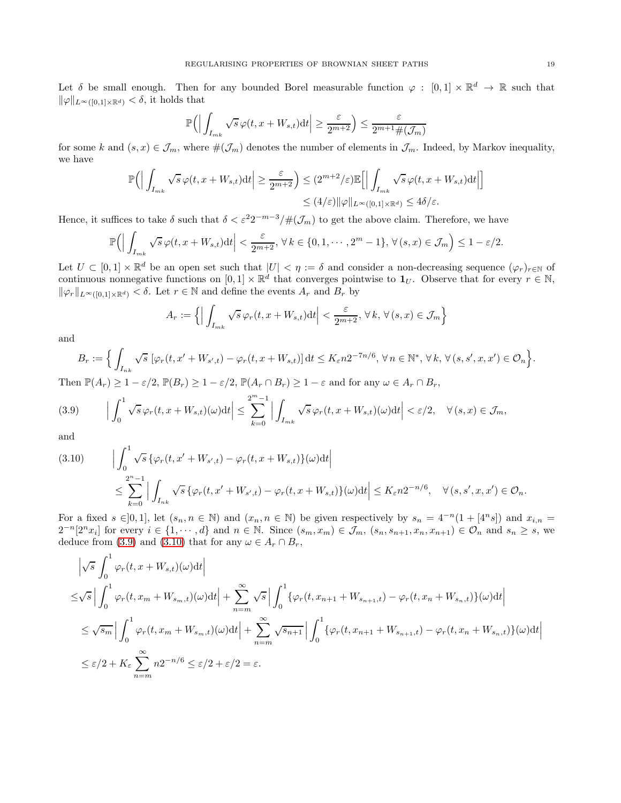Let  $\delta$  be small enough. Then for any bounded Borel measurable function  $\varphi : [0,1] \times \mathbb{R}^d \to \mathbb{R}$  such that  $\|\varphi\|_{L^{\infty}([0,1]\times\mathbb{R}^d)} < \delta$ , it holds that

$$
\mathbb{P}\Big(\Big|\int_{I_{mk}}\sqrt{s}\,\varphi(t,x+W_{s,t})\text{d} t\Big|\geq\frac{\varepsilon}{2^{m+2}}\Big)\leq\frac{\varepsilon}{2^{m+1}\#(\mathcal{J}_m)}
$$

for some k and  $(s, x) \in \mathcal{J}_m$ , where  $\#(\mathcal{J}_m)$  denotes the number of elements in  $\mathcal{J}_m$ . Indeed, by Markov inequality, we have

$$
\mathbb{P}\Big(\Big|\int_{I_{mk}} \sqrt{s} \,\varphi(t, x + W_{s,t}) \mathrm{d}t \Big| \ge \frac{\varepsilon}{2^{m+2}}\Big) \le (2^{m+2}/\varepsilon) \mathbb{E}\Big[\Big|\int_{I_{mk}} \sqrt{s} \,\varphi(t, x + W_{s,t}) \mathrm{d}t \Big|\Big] \le (4/\varepsilon) \|\varphi\|_{L^{\infty}([0,1] \times \mathbb{R}^d)} \le 4\delta/\varepsilon.
$$

Hence, it suffices to take  $\delta$  such that  $\delta < \varepsilon^2 2^{-m-3}/\#(\mathcal{J}_m)$  to get the above claim. Therefore, we have

$$
\mathbb{P}\Big(\Big|\int_{I_{mk}}\sqrt{s}\,\varphi(t,x+W_{s,t})\mathrm{d}t\Big|<\frac{\varepsilon}{2^{m+2}},\,\forall\,k\in\{0,1,\cdots,2^m-1\},\,\forall\,(s,x)\in\mathcal{J}_m\Big)\leq 1-\varepsilon/2.
$$

Let  $U \subset [0,1] \times \mathbb{R}^d$  be an open set such that  $|U| \leq \eta := \delta$  and consider a non-decreasing sequence  $(\varphi_r)_{r \in \mathbb{N}}$  of continuous nonnegative functions on  $[0,1] \times \mathbb{R}^d$  that converges pointwise to  $\mathbf{1}_U$ . Observe that for every  $r \in \mathbb{N}$ ,  $\|\varphi_r\|_{L^{\infty}([0,1]\times\mathbb{R}^d)} < \delta$ . Let  $r \in \mathbb{N}$  and define the events  $A_r$  and  $B_r$  by

$$
A_r := \left\{ \left| \int_{I_{mk}} \sqrt{s} \, \varphi_r(t, x + W_{s,t}) \mathrm{d}t \right| < \frac{\varepsilon}{2^{m+2}}, \, \forall \, k, \, \forall \, (s, x) \in \mathcal{J}_m \right\}
$$

and

$$
B_r := \Big\{ \int_{I_{nk}} \sqrt{s} \, \left[ \varphi_r(t, x' + W_{s',t}) - \varphi_r(t, x + W_{s,t}) \right] dt \leq K_{\varepsilon} n 2^{-7n/6}, \, \forall n \in \mathbb{N}^*, \, \forall k, \, \forall (s, s', x, x') \in \mathcal{O}_n \Big\}.
$$

Then  $\mathbb{P}(A_r) \geq 1 - \varepsilon/2$ ,  $\mathbb{P}(B_r) \geq 1 - \varepsilon/2$ ,  $\mathbb{P}(A_r \cap B_r) \geq 1 - \varepsilon$  and for any  $\omega \in A_r \cap B_r$ ,

<span id="page-18-0"></span>
$$
(3.9) \qquad \Big|\int_0^1 \sqrt{s} \,\varphi_r(t,x+W_{s,t})(\omega) \mathrm{d}t \Big| \leq \sum_{k=0}^{2^m-1} \Big|\int_{I_{mk}} \sqrt{s} \,\varphi_r(t,x+W_{s,t})(\omega) \mathrm{d}t \Big| < \varepsilon/2, \quad \forall (s,x) \in \mathcal{J}_m,
$$

and

<span id="page-18-1"></span>
$$
(3.10) \qquad \Big| \int_0^1 \sqrt{s} \left\{ \varphi_r(t, x' + W_{s',t}) - \varphi_r(t, x + W_{s,t}) \right\}(\omega) dt \Big|
$$
  

$$
\leq \sum_{k=0}^{2^n - 1} \Big| \int_{I_{nk}} \sqrt{s} \left\{ \varphi_r(t, x' + W_{s',t}) - \varphi_r(t, x + W_{s,t}) \right\}(\omega) dt \Big| \leq K_{\varepsilon} n 2^{-n/6}, \quad \forall (s, s', x, x') \in \mathcal{O}_n.
$$

For a fixed  $s \in ]0,1]$ , let  $(s_n, n \in \mathbb{N})$  and  $(x_n, n \in \mathbb{N})$  be given respectively by  $s_n = 4^{-n}(1 + 4^{n}s)$  and  $x_{i,n} =$  $2^{-n}[2^n x_i]$  for every  $i \in \{1, \dots, d\}$  and  $n \in \mathbb{N}$ . Since  $(s_m, x_m) \in \mathcal{J}_m$ ,  $(s_n, s_{n+1}, x_n, x_{n+1}) \in \mathcal{O}_n$  and  $s_n \geq s$ , we deduce from [\(3.9\)](#page-18-0) and [\(3.10\)](#page-18-1) that for any  $\omega \in A_r \cap B_r$ ,

$$
\begin{split}\n&\left|\sqrt{s}\int_{0}^{1}\varphi_{r}(t,x+W_{s,t})(\omega)\mathrm{d}t\right| \\
&\leq\sqrt{s}\left|\int_{0}^{1}\varphi_{r}(t,x_{m}+W_{s_{m},t})(\omega)\mathrm{d}t\right|+\sum_{n=m}^{\infty}\sqrt{s}\left|\int_{0}^{1}\{\varphi_{r}(t,x_{n+1}+W_{s_{n+1},t})-\varphi_{r}(t,x_{n}+W_{s_{n},t})\}(\omega)\mathrm{d}t\right| \\
&\leq\sqrt{s_{m}}\left|\int_{0}^{1}\varphi_{r}(t,x_{m}+W_{s_{m},t})(\omega)\mathrm{d}t\right|+\sum_{n=m}^{\infty}\sqrt{s_{n+1}}\left|\int_{0}^{1}\{\varphi_{r}(t,x_{n+1}+W_{s_{n+1},t})-\varphi_{r}(t,x_{n}+W_{s_{n},t})\}(\omega)\mathrm{d}t\right| \\
&\leq\varepsilon/2+K_{\varepsilon}\sum_{n=m}^{\infty}n2^{-n/6}\leq\varepsilon/2+\varepsilon/2=\varepsilon.\n\end{split}
$$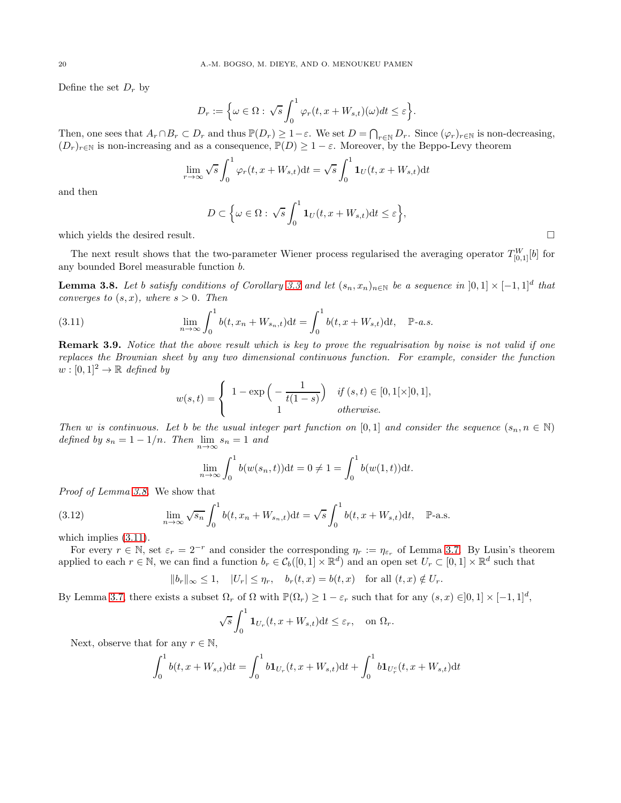Define the set  $D_r$  by

$$
D_r := \Big\{ \omega \in \Omega : \sqrt{s} \int_0^1 \varphi_r(t, x + W_{s,t})(\omega) dt \le \varepsilon \Big\}.
$$

Then, one sees that  $A_r \cap B_r \subset D_r$  and thus  $\mathbb{P}(D_r) \geq 1-\varepsilon$ . We set  $D = \bigcap_{r \in \mathbb{N}} D_r$ . Since  $(\varphi_r)_{r \in \mathbb{N}}$  is non-decreasing,  $(D_r)_{r \in \mathbb{N}}$  is non-increasing and as a consequence,  $\mathbb{P}(D) \geq 1 - \varepsilon$ . Moreover, by the Beppo-Levy theorem

$$
\lim_{r \to \infty} \sqrt{s} \int_0^1 \varphi_r(t, x + W_{s,t}) dt = \sqrt{s} \int_0^1 \mathbf{1}_U(t, x + W_{s,t}) dt
$$

and then

$$
D \subset \Big\{\omega \in \Omega: \sqrt{s} \int_0^1 \mathbf{1}_U(t, x + W_{s,t}) dt \le \varepsilon \Big\},\
$$

which yields the desired result.  $\Box$ 

The next result shows that the two-parameter Wiener process regularised the averaging operator  $T_{[0,1]}^{W}[b]$  for any bounded Borel measurable function b.

<span id="page-19-0"></span>**Lemma 3.8.** Let b satisfy conditions of Corollary [3.3](#page-14-0) and let  $(s_n, x_n)_{n \in \mathbb{N}}$  be a sequence in  $[0,1] \times [-1,1]^d$  that converges to  $(s, x)$ , where  $s > 0$ . Then

<span id="page-19-1"></span>(3.11) 
$$
\lim_{n \to \infty} \int_0^1 b(t, x_n + W_{s_n, t}) dt = \int_0^1 b(t, x + W_{s, t}) dt, \quad \mathbb{P}\text{-}a.s.
$$

Remark 3.9. Notice that the above result which is key to prove the regualrisation by noise is not valid if one replaces the Brownian sheet by any two dimensional continuous function. For example, consider the function  $w : [0, 1]^2 \rightarrow \mathbb{R}$  defined by

$$
w(s,t) = \begin{cases} 1 - \exp\left(-\frac{1}{t(1-s)}\right) & \text{if } (s,t) \in [0,1[\times]0,1], \\ 1 & \text{otherwise.} \end{cases}
$$

Then w is continuous. Let b be the usual integer part function on [0, 1] and consider the sequence  $(s_n, n \in \mathbb{N})$ defined by  $s_n = 1 - 1/n$ . Then  $\lim_{n \to \infty} s_n = 1$  and

$$
\lim_{n \to \infty} \int_0^1 b(w(s_n, t)) dt = 0 \neq 1 = \int_0^1 b(w(1, t)) dt.
$$

Proof of Lemma [3.8.](#page-19-0) We show that

(3.12) 
$$
\lim_{n \to \infty} \sqrt{s_n} \int_0^1 b(t, x_n + W_{s_n, t}) dt = \sqrt{s} \int_0^1 b(t, x + W_{s, t}) dt, \quad \mathbb{P}\text{-a.s.}
$$

which implies  $(3.11)$ .

For every  $r \in \mathbb{N}$ , set  $\varepsilon_r = 2^{-r}$  and consider the corresponding  $\eta_r := \eta_{\varepsilon_r}$  of Lemma [3.7.](#page-17-0) By Lusin's theorem applied to each  $r \in \mathbb{N}$ , we can find a function  $b_r \in C_b([0,1] \times \mathbb{R}^d)$  and an open set  $U_r \subset [0,1] \times \mathbb{R}^d$  such that

$$
||b_r||_{\infty} \le 1, \quad |U_r| \le \eta_r, \quad b_r(t, x) = b(t, x) \quad \text{for all } (t, x) \notin U_r.
$$

By Lemma [3.7,](#page-17-0) there exists a subset  $\Omega_r$  of  $\Omega$  with  $\mathbb{P}(\Omega_r) \geq 1 - \varepsilon_r$  such that for any  $(s, x) \in ]0, 1] \times [-1, 1]^d$ ,

$$
\sqrt{s} \int_0^1 \mathbf{1}_{U_r}(t, x + W_{s,t}) dt \le \varepsilon_r, \quad \text{on } \Omega_r.
$$

Next, observe that for any  $r \in \mathbb{N}$ ,

$$
\int_0^1 b(t, x + W_{s,t}) dt = \int_0^1 b \mathbf{1}_{U_r}(t, x + W_{s,t}) dt + \int_0^1 b \mathbf{1}_{U_r^c}(t, x + W_{s,t}) dt
$$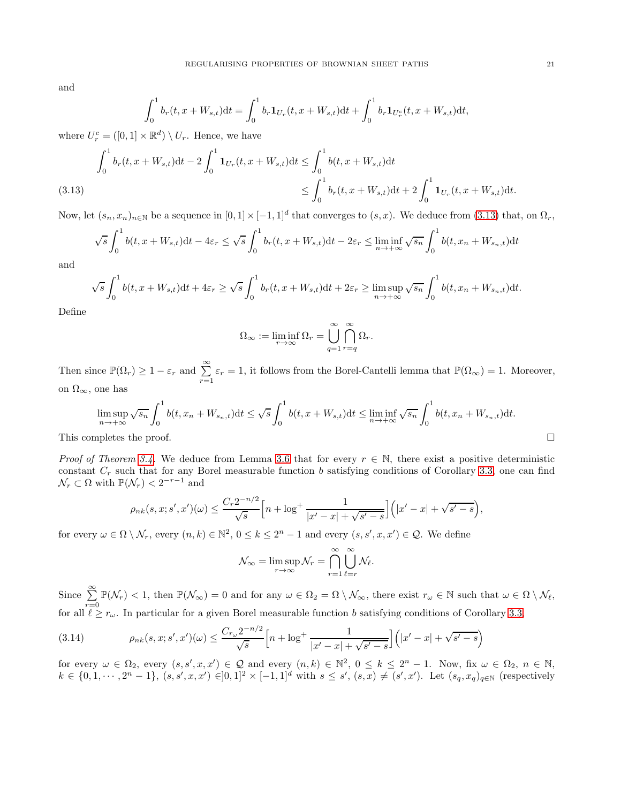and

$$
\int_0^1 b_r(t, x + W_{s,t}) dt = \int_0^1 b_r \mathbf{1}_{U_r}(t, x + W_{s,t}) dt + \int_0^1 b_r \mathbf{1}_{U_r^c}(t, x + W_{s,t}) dt,
$$

where  $U_r^c = ([0, 1] \times \mathbb{R}^d) \setminus U_r$ . Hence, we have

$$
\int_0^1 b_r(t, x + W_{s,t}) dt - 2 \int_0^1 \mathbf{1}_{U_r}(t, x + W_{s,t}) dt \le \int_0^1 b(t, x + W_{s,t}) dt
$$
\n
$$
\le \int_0^1 b_r(t, x + W_{s,t}) dt + 2 \int_0^1 \mathbf{1}_{U_r}(t, x + W_{s,t}) dt.
$$
\n(3.13)

<span id="page-20-0"></span>Now, let  $(s_n, x_n)_{n \in \mathbb{N}}$  be a sequence in  $[0,1] \times [-1,1]^d$  that converges to  $(s, x)$ . We deduce from  $(3.13)$  that, on  $\Omega_r$ ,

$$
\sqrt{s} \int_0^1 b(t, x + W_{s,t}) dt - 4\varepsilon_r \le \sqrt{s} \int_0^1 b_r(t, x + W_{s,t}) dt - 2\varepsilon_r \le \liminf_{n \to +\infty} \sqrt{s_n} \int_0^1 b(t, x_n + W_{s_n,t}) dt
$$

and

$$
\sqrt{s} \int_0^1 b(t, x + W_{s,t}) dt + 4\varepsilon_r \ge \sqrt{s} \int_0^1 b_r(t, x + W_{s,t}) dt + 2\varepsilon_r \ge \limsup_{n \to +\infty} \sqrt{s_n} \int_0^1 b(t, x_n + W_{s_n,t}) dt.
$$

Define

$$
\Omega_{\infty} := \liminf_{r \to \infty} \Omega_r = \bigcup_{q=1}^{\infty} \bigcap_{r=q}^{\infty} \Omega_r.
$$

Then since  $\mathbb{P}(\Omega_r) \geq 1 - \varepsilon_r$  and  $\sum_{r=1}^{\infty} \varepsilon_r = 1$ , it follows from the Borel-Cantelli lemma that  $\mathbb{P}(\Omega_{\infty}) = 1$ . Moreover, on  $\Omega_{\infty}$ , one has

$$
\limsup_{n \to +\infty} \sqrt{s_n} \int_0^1 b(t, x_n + W_{s_n, t}) dt \le \sqrt{s} \int_0^1 b(t, x + W_{s, t}) dt \le \liminf_{n \to +\infty} \sqrt{s_n} \int_0^1 b(t, x_n + W_{s_n, t}) dt.
$$

This completes the proof.  $\Box$ 

*Proof of Theorem [3.4.](#page-15-0)* We deduce from Lemma [3.6](#page-15-2) that for every  $r \in \mathbb{N}$ , there exist a positive deterministic constant  $C_r$  such that for any Borel measurable function b satisfying conditions of Corollary [3.3,](#page-14-0) one can find  $\mathcal{N}_r \subset \Omega$  with  $\mathbb{P}(\mathcal{N}_r) < 2^{-r-1}$  and

$$
\rho_{nk}(s,x;s',x')(\omega) \le \frac{C_r 2^{-n/2}}{\sqrt{s}} \Big[n + \log^+ \frac{1}{|x'-x| + \sqrt{s'-s}}\Big] (|x'-x| + \sqrt{s'-s}),
$$

for every  $\omega \in \Omega \setminus \mathcal{N}_r$ , every  $(n, k) \in \mathbb{N}^2$ ,  $0 \le k \le 2^n - 1$  and every  $(s, s', x, x') \in \mathcal{Q}$ . We define

$$
\mathcal{N}_{\infty} = \limsup_{r \to \infty} \mathcal{N}_r = \bigcap_{r=1}^{\infty} \bigcup_{\ell=r}^{\infty} \mathcal{N}_{\ell}.
$$

Since  $\sum_{r=0}^{\infty} \mathbb{P}(\mathcal{N}_r) < 1$ , then  $\mathbb{P}(\mathcal{N}_{\infty}) = 0$  and for any  $\omega \in \Omega_2 = \Omega \setminus \mathcal{N}_{\infty}$ , there exist  $r_{\omega} \in \mathbb{N}$  such that  $\omega \in \Omega \setminus \mathcal{N}_{\ell}$ , for all  $\ell \geq r_{\omega}$ . In particular for a given Borel measurable function b satisfying conditions of Corollary [3.3,](#page-14-0)

<span id="page-20-1"></span>(3.14) 
$$
\rho_{nk}(s,x;s',x')(\omega) \leq \frac{C_{r_{\omega}}2^{-n/2}}{\sqrt{s}} \Big[n + \log^+\frac{1}{|x'-x| + \sqrt{s'-s}}\Big] \Big(|x'-x| + \sqrt{s'-s}\Big)
$$

for every  $\omega \in \Omega_2$ , every  $(s, s', x, x') \in \mathcal{Q}$  and every  $(n, k) \in \mathbb{N}^2$ ,  $0 \leq k \leq 2^n - 1$ . Now, fix  $\omega \in \Omega_2$ ,  $n \in \mathbb{N}$ ,  $k \in \{0, 1, \dots, 2^n - 1\}, (s, s', x, x') \in ]0, 1]^2 \times [-1, 1]^d$  with  $s \le s', (s, x) \ne (s', x')$ . Let  $(s_q, x_q)_{q \in \mathbb{N}}$  (respectively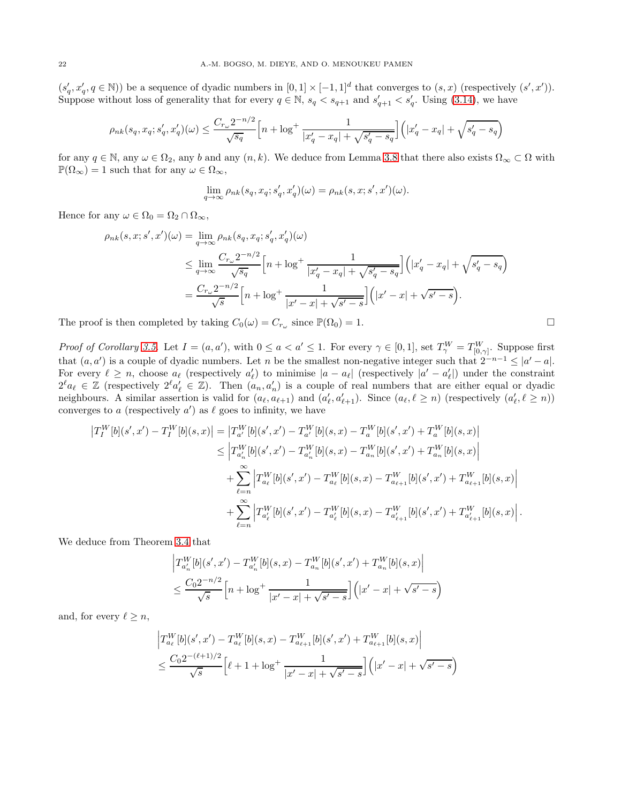$(s'_q, x'_q, q \in \mathbb{N})$  be a sequence of dyadic numbers in  $[0,1] \times [-1,1]^d$  that converges to  $(s, x)$  (respectively  $(s', x')$ ). Suppose without loss of generality that for every  $q \in \mathbb{N}$ ,  $s_q < s_{q+1}$  and  $s'_{q+1} < s'_{q}$ . Using [\(3.14\)](#page-20-1), we have

$$
\rho_{nk}(s_q, x_q; s'_q, x'_q)(\omega) \le \frac{C_{r_{\omega}} 2^{-n/2}}{\sqrt{s_q}} \Big[ n + \log^+ \frac{1}{|x'_q - x_q| + \sqrt{s'_q - s_q}} \Big] \Big( |x'_q - x_q| + \sqrt{s'_q - s_q} \Big)
$$

for any  $q \in \mathbb{N}$ , any  $\omega \in \Omega_2$ , any b and any  $(n, k)$ . We deduce from Lemma [3.8](#page-19-0) that there also exists  $\Omega_\infty \subset \Omega$  with  $\mathbb{P}(\Omega_{\infty}) = 1$  such that for any  $\omega \in \Omega_{\infty}$ ,

$$
\lim_{q \to \infty} \rho_{nk}(s_q, x_q; s'_q, x'_q)(\omega) = \rho_{nk}(s, x; s', x')(\omega).
$$

Hence for any  $\omega \in \Omega_0 = \Omega_2 \cap \Omega_\infty$ ,

$$
\rho_{nk}(s, x; s', x')(\omega) = \lim_{q \to \infty} \rho_{nk}(s_q, x_q; s'_q, x'_q)(\omega)
$$
  
\n
$$
\leq \lim_{q \to \infty} \frac{C_{r_{\omega}} 2^{-n/2}}{\sqrt{s_q}} \left[ n + \log^+ \frac{1}{|x'_q - x_q| + \sqrt{s'_q - s_q}} \right] \left( |x'_q - x_q| + \sqrt{s'_q - s_q} \right)
$$
  
\n
$$
= \frac{C_{r_{\omega}} 2^{-n/2}}{\sqrt{s}} \left[ n + \log^+ \frac{1}{|x' - x| + \sqrt{s' - s}} \right] \left( |x' - x| + \sqrt{s' - s} \right).
$$

The proof is then completed by taking  $C_0(\omega) = C_{r_\omega}$  since  $\mathbb{P}(\Omega_0) = 1$ .

Proof of Corollary [3.5.](#page-15-1) Let  $I = (a, a')$ , with  $0 \le a < a' \le 1$ . For every  $\gamma \in [0, 1]$ , set  $T_{\gamma}^{W} = T_{[0, \gamma]}^{W}$ . Suppose first that  $(a, a')$  is a couple of dyadic numbers. Let n be the smallest non-negative integer such that  $2^{-n-1} \leq |a'-a|$ . For every  $\ell \geq n$ , choose  $a_{\ell}$  (respectively  $a'_{\ell}$ ) to minimise  $|a - a_{\ell}|$  (respectively  $|a' - a'_{\ell}|$ ) under the constraint  $2^{\ell}a_{\ell} \in \mathbb{Z}$  (respectively  $2^{\ell}a_{\ell}' \in \mathbb{Z}$ ). Then  $(a_n, a'_n)$  is a couple of real numbers that are either equal or dyadic neighbours. A similar assertion is valid for  $(a_{\ell}, a_{\ell+1})$  and  $(a'_{\ell}, a'_{\ell+1})$ . Since  $(a_{\ell}, \ell \geq n)$  (respectively  $(a'_{\ell}, \ell \geq n)$ ) converges to a (respectively  $a'$ ) as  $\ell$  goes to infinity, we have

$$
\begin{split} \left|T_{I}^{W}[b](s',x')-T_{I}^{W}[b](s,x)\right|&= \left|T_{a'}^{W}[b](s',x')-T_{a'}^{W}[b](s,x)-T_{a}^{W}[b](s',x')+T_{a}^{W}[b](s,x)\right|\\ &\leq \left|T_{a'_{n}}^{W}[b](s',x')-T_{a'_{n}}^{W}[b](s,x)-T_{a_{n}}^{W}[b](s',x')+T_{a_{n}}^{W}[b](s,x)\right|\\ &+\sum_{\ell=n}^{\infty}\left|T_{a_{\ell}}^{W}[b](s',x')-T_{a_{\ell}}^{W}[b](s,x)-T_{a_{\ell+1}}^{W}[b](s',x')+T_{a_{\ell+1}}^{W}[b](s,x)\right|\\ &+\sum_{\ell=n}^{\infty}\left|T_{a'_{\ell}}^{W}[b](s',x')-T_{a'_{\ell}}^{W}[b](s,x)-T_{a'_{\ell+1}}^{W}[b](s',x')+T_{a'_{\ell+1}}^{W}[b](s,x)\right|. \end{split}
$$

We deduce from Theorem [3.4](#page-15-0) that

$$
\left| T_{a'_n}^W[b](s',x') - T_{a'_n}^W[b](s,x) - T_{a_n}^W[b](s',x') + T_{a_n}^W[b](s,x) \right|
$$
  

$$
\leq \frac{C_0 2^{-n/2}}{\sqrt{s}} \left[ n + \log^+ \frac{1}{|x'-x| + \sqrt{s'-s}} \right] \left( |x'-x| + \sqrt{s'-s} \right)
$$

and, for every  $\ell \geq n$ ,

$$
\left| T_{a_{\ell}}^{W}[b](s',x') - T_{a_{\ell}}^{W}[b](s,x) - T_{a_{\ell+1}}^{W}[b](s',x') + T_{a_{\ell+1}}^{W}[b](s,x) \right|
$$
  

$$
\leq \frac{C_0 2^{-(\ell+1)/2}}{\sqrt{s}} \left[ \ell + 1 + \log^+ \frac{1}{|x'-x| + \sqrt{s'-s}} \right] \left( |x'-x| + \sqrt{s'-s} \right)
$$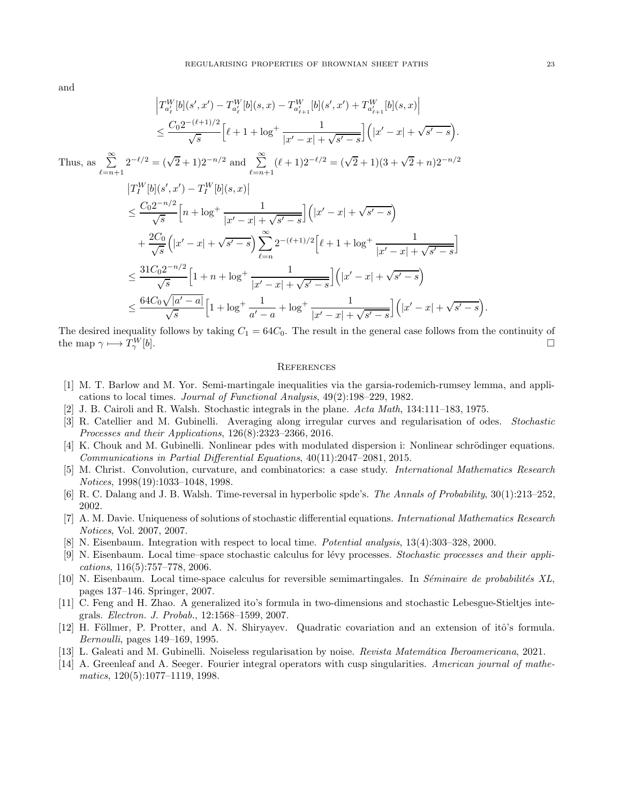and

$$
\left|T_{a_{\ell}}^{W}[b](s',x') - T_{a_{\ell}}^{W}[b](s,x) - T_{a_{\ell+1}}^{W}[b](s',x') + T_{a_{\ell+1}}^{W}[b](s,x)\right|
$$
\n
$$
\leq \frac{C_0 2^{-(\ell+1)/2}}{\sqrt{s}} \left[\ell+1+\log^+\frac{1}{|x'-x|+\sqrt{s'-s}}\right] \left(|x'-x|+\sqrt{s'-s}\right).
$$
\nThus, as\n
$$
\sum_{\ell=n+1}^{\infty} 2^{-\ell/2} = (\sqrt{2}+1)2^{-n/2} \text{ and } \sum_{\ell=n+1}^{\infty} (\ell+1)2^{-\ell/2} = (\sqrt{2}+1)(3+\sqrt{2}+n)2^{-n/2}
$$
\n
$$
\left|T_I^W[b](s',x') - T_I^W[b](s,x)\right|
$$
\n
$$
\leq \frac{C_0 2^{-n/2}}{\sqrt{s}} \left[n+\log^+\frac{1}{|x'-x|+\sqrt{s'-s}}\right] \left(|x'-x|+\sqrt{s'-s}\right)
$$
\n
$$
+\frac{2C_0}{\sqrt{s}} \left(|x'-x|+\sqrt{s'-s}\right) \sum_{\ell=n}^{\infty} 2^{-(\ell+1)/2} \left[\ell+1+\log^+\frac{1}{|x'-x|+\sqrt{s'-s}}\right]
$$
\n
$$
\leq \frac{31C_0 2^{-n/2}}{\sqrt{s}} \left[1+n+\log^+\frac{1}{|x'-x|+\sqrt{s'-s}}\right] \left(|x'-x|+\sqrt{s'-s}\right)
$$
\n
$$
\leq \frac{64C_0 \sqrt{|a'-a|}}{\sqrt{s}} \left[1+\log^+\frac{1}{a'-a}+\log^+\frac{1}{|x'-x|+\sqrt{s'-s}}\right] \left(|x'-x|+\sqrt{s'-s}\right).
$$

The desired inequality follows by taking  $C_1 = 64C_0$ . The result in the general case follows from the continuity of the map  $\gamma \longmapsto T_{\gamma}^W$ [b].

### **REFERENCES**

- <span id="page-22-13"></span>[1] M. T. Barlow and M. Yor. Semi-martingale inequalities via the garsia-rodemich-rumsey lemma, and applications to local times. Journal of Functional Analysis, 49(2):198–229, 1982.
- <span id="page-22-6"></span>[2] J. B. Cairoli and R. Walsh. Stochastic integrals in the plane. Acta Math, 134:111–183, 1975.
- <span id="page-22-1"></span>[3] R. Catellier and M. Gubinelli. Averaging along irregular curves and regularisation of odes. Stochastic Processes and their Applications, 126(8):2323–2366, 2016.
- <span id="page-22-9"></span>[4] K. Chouk and M. Gubinelli. Nonlinear pdes with modulated dispersion i: Nonlinear schrödinger equations. Communications in Partial Differential Equations, 40(11):2047–2081, 2015.
- <span id="page-22-10"></span>[5] M. Christ. Convolution, curvature, and combinatorics: a case study. International Mathematics Research Notices, 1998(19):1033–1048, 1998.
- <span id="page-22-5"></span>[6] R. C. Dalang and J. B. Walsh. Time-reversal in hyperbolic spde's. The Annals of Probability, 30(1):213–252, 2002.
- <span id="page-22-8"></span>[7] A. M. Davie. Uniqueness of solutions of stochastic differential equations. International Mathematics Research Notices, Vol. 2007, 2007.
- <span id="page-22-0"></span>[8] N. Eisenbaum. Integration with respect to local time. Potential analysis, 13(4):303–328, 2000.
- <span id="page-22-2"></span>[9] N. Eisenbaum. Local time–space stochastic calculus for lévy processes. Stochastic processes and their applications, 116(5):757–778, 2006.
- <span id="page-22-3"></span>[10] N. Eisenbaum. Local time-space calculus for reversible semimartingales. In Séminaire de probabilités XL, pages 137–146. Springer, 2007.
- <span id="page-22-4"></span>[11] C. Feng and H. Zhao. A generalized ito's formula in two-dimensions and stochastic Lebesgue-Stieltjes integrals. Electron. J. Probab., 12:1568–1599, 2007.
- <span id="page-22-12"></span>[12] H. Föllmer, P. Protter, and A. N. Shiryayev. Quadratic covariation and an extension of itô's formula. Bernoulli, pages 149–169, 1995.
- <span id="page-22-7"></span>[13] L. Galeati and M. Gubinelli. Noiseless regularisation by noise. Revista Matemática Iberoamericana, 2021.
- <span id="page-22-11"></span>[14] A. Greenleaf and A. Seeger. Fourier integral operators with cusp singularities. American journal of mathematics, 120(5):1077–1119, 1998.